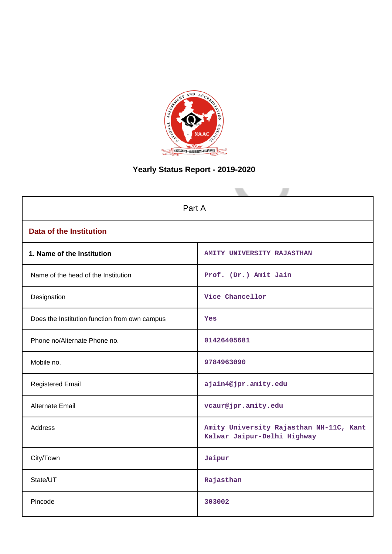

# **Yearly Status Report - 2019-2020**

| Part A                                        |                                                                        |  |  |  |
|-----------------------------------------------|------------------------------------------------------------------------|--|--|--|
| <b>Data of the Institution</b>                |                                                                        |  |  |  |
| 1. Name of the Institution                    | <b>AMITY UNIVERSITY RAJASTHAN</b>                                      |  |  |  |
| Name of the head of the Institution           | Prof. (Dr.) Amit Jain                                                  |  |  |  |
| Designation                                   | Vice Chancellor                                                        |  |  |  |
| Does the Institution function from own campus | Yes                                                                    |  |  |  |
| Phone no/Alternate Phone no.                  | 01426405681                                                            |  |  |  |
| Mobile no.                                    | 9784963090                                                             |  |  |  |
| <b>Registered Email</b>                       | ajain4@jpr.amity.edu                                                   |  |  |  |
| Alternate Email                               | vcaur@jpr.amity.edu                                                    |  |  |  |
| <b>Address</b>                                | Amity University Rajasthan NH-11C, Kant<br>Kalwar Jaipur-Delhi Highway |  |  |  |
| City/Town                                     | Jaipur                                                                 |  |  |  |
| State/UT                                      | Rajasthan                                                              |  |  |  |
| Pincode                                       | 303002                                                                 |  |  |  |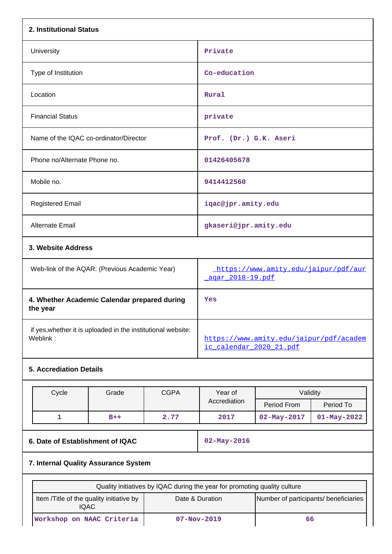| 2. Institutional Status                                                  |                                          |             |                                                                           |                                  |                                |  |
|--------------------------------------------------------------------------|------------------------------------------|-------------|---------------------------------------------------------------------------|----------------------------------|--------------------------------|--|
| University                                                               |                                          |             | Private                                                                   |                                  |                                |  |
| Type of Institution                                                      |                                          |             | Co-education                                                              |                                  |                                |  |
| Location                                                                 |                                          |             | Rural                                                                     |                                  |                                |  |
| <b>Financial Status</b>                                                  |                                          |             | private                                                                   |                                  |                                |  |
| Name of the IQAC co-ordinator/Director                                   |                                          |             | Prof. (Dr.) G.K. Aseri                                                    |                                  |                                |  |
| Phone no/Alternate Phone no.                                             |                                          |             | 01426405678                                                               |                                  |                                |  |
| Mobile no.                                                               |                                          |             | 9414412560                                                                |                                  |                                |  |
| <b>Registered Email</b>                                                  |                                          |             | iqac@jpr.amity.edu                                                        |                                  |                                |  |
| Alternate Email                                                          |                                          |             | gkaseri@jpr.amity.edu                                                     |                                  |                                |  |
| 3. Website Address                                                       |                                          |             |                                                                           |                                  |                                |  |
| Web-link of the AQAR: (Previous Academic Year)                           |                                          |             | https://www.amity.edu/jaipur/pdf/aur<br><u>agar 2018-19.pdf</u>           |                                  |                                |  |
| 4. Whether Academic Calendar prepared during<br>the year                 |                                          |             | Yes                                                                       |                                  |                                |  |
| if yes, whether it is uploaded in the institutional website:<br>Weblink: |                                          |             | https://www.amity.edu/jaipur/pdf/academ<br>ic calendar 2020 21.pdf        |                                  |                                |  |
| <b>5. Accrediation Details</b>                                           |                                          |             |                                                                           |                                  |                                |  |
| Cycle                                                                    | Grade                                    | <b>CGPA</b> | Year of<br>Accrediation                                                   | Validity                         |                                |  |
| 1                                                                        | $B++$                                    | 2.77        | 2017                                                                      | Period From<br>$02 - May - 2017$ | Period To<br>$01 - May - 2022$ |  |
|                                                                          |                                          |             |                                                                           |                                  |                                |  |
| 6. Date of Establishment of IQAC                                         |                                          |             | $02 - May - 2016$                                                         |                                  |                                |  |
|                                                                          | 7. Internal Quality Assurance System     |             |                                                                           |                                  |                                |  |
|                                                                          |                                          |             | Quality initiatives by IQAC during the year for promoting quality culture |                                  |                                |  |
| <b>IQAC</b>                                                              | Item /Title of the quality initiative by |             | Date & Duration<br>Number of participants/ beneficiaries                  |                                  |                                |  |
| Workshop on NAAC Criteria                                                |                                          |             | $07 - Nov - 2019$<br>66                                                   |                                  |                                |  |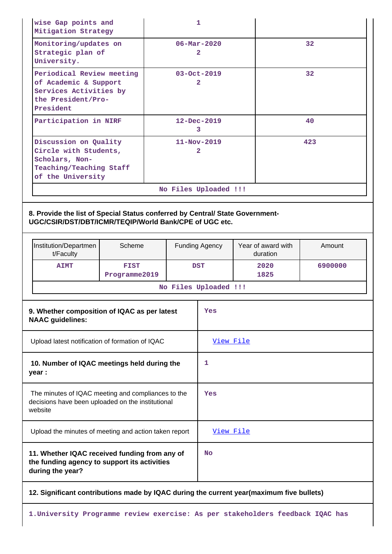| wise Gap points and<br>Mitigation Strategy                                                                       | 1                             |     |
|------------------------------------------------------------------------------------------------------------------|-------------------------------|-----|
| Monitoring/updates on<br>Strategic plan of<br>University.                                                        | $06 - \text{Mar} - 2020$<br>2 | 32  |
| Periodical Review meeting<br>of Academic & Support<br>Services Activities by<br>the President/Pro-<br>President  | $03 - Oct - 2019$<br>2        | 32  |
| Participation in NIRF                                                                                            | $12 - Dec - 2019$<br>3        | 40  |
| Discussion on Quality<br>Circle with Students,<br>Scholars, Non-<br>Teaching/Teaching Staff<br>of the University | $11 - Nov - 2019$<br>2        | 423 |
|                                                                                                                  | No Files Uploaded !!!         |     |

### **8. Provide the list of Special Status conferred by Central/ State Government-UGC/CSIR/DST/DBT/ICMR/TEQIP/World Bank/CPE of UGC etc.**

|                                                                                                                    | Institution/Departmen<br>t/Faculty                                                                                | Scheme                       |   | <b>Funding Agency</b> | Year of award with<br>duration | Amount  |
|--------------------------------------------------------------------------------------------------------------------|-------------------------------------------------------------------------------------------------------------------|------------------------------|---|-----------------------|--------------------------------|---------|
|                                                                                                                    | <b>AIMT</b>                                                                                                       | <b>FIST</b><br>Programme2019 |   | <b>DST</b>            | 2020<br>1825                   | 6900000 |
|                                                                                                                    |                                                                                                                   |                              |   | No Files Uploaded !!! |                                |         |
| 9. Whether composition of IQAC as per latest<br><b>NAAC</b> guidelines:                                            |                                                                                                                   |                              |   | Yes                   |                                |         |
| Upload latest notification of formation of IQAC                                                                    |                                                                                                                   |                              |   | View File             |                                |         |
| 10. Number of IQAC meetings held during the<br>year :                                                              |                                                                                                                   |                              | 1 |                       |                                |         |
| The minutes of IQAC meeting and compliances to the<br>decisions have been uploaded on the institutional<br>website |                                                                                                                   |                              |   | Yes                   |                                |         |
|                                                                                                                    | Upload the minutes of meeting and action taken report                                                             |                              |   |                       | View File                      |         |
|                                                                                                                    | 11. Whether IQAC received funding from any of<br>the funding agency to support its activities<br>during the year? |                              |   |                       |                                |         |
| 12. Significant contributions made by IQAC during the current year(maximum five bullets)                           |                                                                                                                   |                              |   |                       |                                |         |

**1.University Programme review exercise: As per stakeholders feedback IQAC has**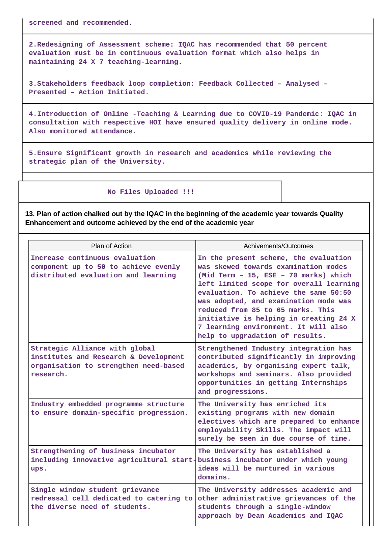**screened and recommended.**

**2.Redesigning of Assessment scheme: IQAC has recommended that 50 percent evaluation must be in continuous evaluation format which also helps in maintaining 24 X 7 teaching-learning.**

**3.Stakeholders feedback loop completion: Feedback Collected – Analysed – Presented – Action Initiated.**

**4.Introduction of Online -Teaching & Learning due to COVID-19 Pandemic: IQAC in consultation with respective HOI have ensured quality delivery in online mode. Also monitored attendance.**

**5.Ensure Significant growth in research and academics while reviewing the strategic plan of the University.**

 **No Files Uploaded !!!**

**13. Plan of action chalked out by the IQAC in the beginning of the academic year towards Quality Enhancement and outcome achieved by the end of the academic year**

| Plan of Action                                                                                                                | Achivements/Outcomes                                                                                                                                                                                                                                                                                                                                                                                          |
|-------------------------------------------------------------------------------------------------------------------------------|---------------------------------------------------------------------------------------------------------------------------------------------------------------------------------------------------------------------------------------------------------------------------------------------------------------------------------------------------------------------------------------------------------------|
| Increase continuous evaluation<br>component up to 50 to achieve evenly<br>distributed evaluation and learning                 | In the present scheme, the evaluation<br>was skewed towards examination modes<br>(Mid Term - 15, ESE - 70 marks) which<br>left limited scope for overall learning<br>evaluation. To achieve the same 50:50<br>was adopted, and examination mode was<br>reduced from 85 to 65 marks. This<br>initiative is helping in creating 24 X<br>7 learning environment. It will also<br>help to upgradation of results. |
| Strategic Alliance with global<br>institutes and Research & Development<br>organisation to strengthen need-based<br>research. | Strengthened Industry integration has<br>contributed significantly in improving<br>academics, by organising expert talk,<br>workshops and seminars. Also provided<br>opportunities in getting Internships<br>and progressions.                                                                                                                                                                                |
| Industry embedded programme structure<br>to ensure domain-specific progression.                                               | The University has enriched its<br>existing programs with new domain<br>electives which are prepared to enhance<br>employability Skills. The impact will<br>surely be seen in due course of time.                                                                                                                                                                                                             |
| Strengthening of business incubator<br>including innovative agricultural start- business incubator under which young<br>ups.  | The University has established a<br>ideas will be nurtured in various<br>domains.                                                                                                                                                                                                                                                                                                                             |
| Single window student grievance<br>redressal cell dedicated to catering to<br>the diverse need of students.                   | The University addresses academic and<br>other administrative grievances of the<br>students through a single-window<br>approach by Dean Academics and IQAC                                                                                                                                                                                                                                                    |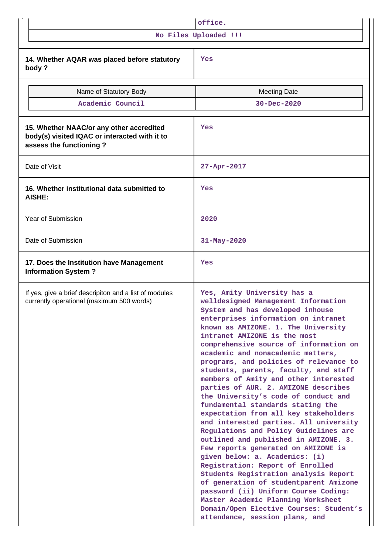|                                                                                                                      | office.                                                                                                                                                                                                                                                                                                                                                                                                                                                                                                                                                                                                                                                                                                                                                                                                                                                                                                                                                                                                                                                                              |  |  |  |  |
|----------------------------------------------------------------------------------------------------------------------|--------------------------------------------------------------------------------------------------------------------------------------------------------------------------------------------------------------------------------------------------------------------------------------------------------------------------------------------------------------------------------------------------------------------------------------------------------------------------------------------------------------------------------------------------------------------------------------------------------------------------------------------------------------------------------------------------------------------------------------------------------------------------------------------------------------------------------------------------------------------------------------------------------------------------------------------------------------------------------------------------------------------------------------------------------------------------------------|--|--|--|--|
|                                                                                                                      | No Files Uploaded !!!                                                                                                                                                                                                                                                                                                                                                                                                                                                                                                                                                                                                                                                                                                                                                                                                                                                                                                                                                                                                                                                                |  |  |  |  |
| 14. Whether AQAR was placed before statutory<br>body?                                                                | Yes                                                                                                                                                                                                                                                                                                                                                                                                                                                                                                                                                                                                                                                                                                                                                                                                                                                                                                                                                                                                                                                                                  |  |  |  |  |
| Name of Statutory Body                                                                                               | <b>Meeting Date</b>                                                                                                                                                                                                                                                                                                                                                                                                                                                                                                                                                                                                                                                                                                                                                                                                                                                                                                                                                                                                                                                                  |  |  |  |  |
| Academic Council                                                                                                     | $30 - Dec - 2020$                                                                                                                                                                                                                                                                                                                                                                                                                                                                                                                                                                                                                                                                                                                                                                                                                                                                                                                                                                                                                                                                    |  |  |  |  |
| 15. Whether NAAC/or any other accredited<br>body(s) visited IQAC or interacted with it to<br>assess the functioning? | Yes                                                                                                                                                                                                                                                                                                                                                                                                                                                                                                                                                                                                                                                                                                                                                                                                                                                                                                                                                                                                                                                                                  |  |  |  |  |
| Date of Visit                                                                                                        | $27 - Apr - 2017$                                                                                                                                                                                                                                                                                                                                                                                                                                                                                                                                                                                                                                                                                                                                                                                                                                                                                                                                                                                                                                                                    |  |  |  |  |
| 16. Whether institutional data submitted to<br>AISHE:                                                                | Yes                                                                                                                                                                                                                                                                                                                                                                                                                                                                                                                                                                                                                                                                                                                                                                                                                                                                                                                                                                                                                                                                                  |  |  |  |  |
| Year of Submission                                                                                                   | 2020                                                                                                                                                                                                                                                                                                                                                                                                                                                                                                                                                                                                                                                                                                                                                                                                                                                                                                                                                                                                                                                                                 |  |  |  |  |
| Date of Submission                                                                                                   | 31-May-2020                                                                                                                                                                                                                                                                                                                                                                                                                                                                                                                                                                                                                                                                                                                                                                                                                                                                                                                                                                                                                                                                          |  |  |  |  |
| 17. Does the Institution have Management<br><b>Information System?</b>                                               | Yes                                                                                                                                                                                                                                                                                                                                                                                                                                                                                                                                                                                                                                                                                                                                                                                                                                                                                                                                                                                                                                                                                  |  |  |  |  |
| If yes, give a brief descripiton and a list of modules<br>currently operational (maximum 500 words)                  | Yes, Amity University has a<br>welldesigned Management Information<br>System and has developed inhouse<br>enterprises information on intranet<br>known as AMIZONE. 1. The University<br>intranet AMIZONE is the most<br>comprehensive source of information on<br>academic and nonacademic matters,<br>programs, and policies of relevance to<br>students, parents, faculty, and staff<br>members of Amity and other interested<br>parties of AUR. 2. AMIZONE describes<br>the University's code of conduct and<br>fundamental standards stating the<br>expectation from all key stakeholders<br>and interested parties. All university<br>Regulations and Policy Guidelines are<br>outlined and published in AMIZONE. 3.<br>Few reports generated on AMIZONE is<br>given below: a. Academics: (i)<br>Registration: Report of Enrolled<br>Students Registration analysis Report<br>of generation of studentparent Amizone<br>password (ii) Uniform Course Coding:<br>Master Academic Planning Worksheet<br>Domain/Open Elective Courses: Student's<br>attendance, session plans, and |  |  |  |  |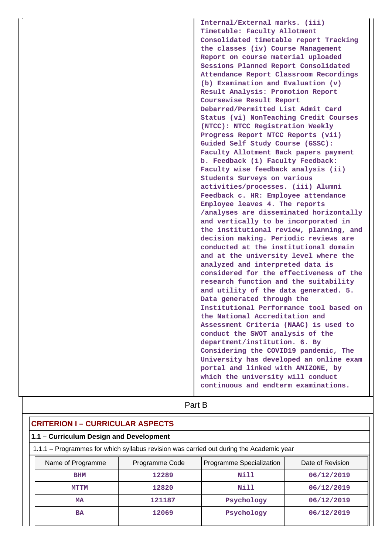**Internal/External marks. (iii) Timetable: Faculty Allotment Consolidated timetable report Tracking the classes (iv) Course Management Report on course material uploaded Sessions Planned Report Consolidated Attendance Report Classroom Recordings (b) Examination and Evaluation (v) Result Analysis: Promotion Report Coursewise Result Report Debarred/Permitted List Admit Card Status (vi) NonTeaching Credit Courses (NTCC): NTCC Registration Weekly Progress Report NTCC Reports (vii) Guided Self Study Course (GSSC): Faculty Allotment Back papers payment b. Feedback (i) Faculty Feedback: Faculty wise feedback analysis (ii) Students Surveys on various activities/processes. (iii) Alumni Feedback c. HR: Employee attendance Employee leaves 4. The reports /analyses are disseminated horizontally and vertically to be incorporated in the institutional review, planning, and decision making. Periodic reviews are conducted at the institutional domain and at the university level where the analyzed and interpreted data is considered for the effectiveness of the research function and the suitability and utility of the data generated. 5. Data generated through the Institutional Performance tool based on the National Accreditation and Assessment Criteria (NAAC) is used to conduct the SWOT analysis of the department/institution. 6. By Considering the COVID19 pandemic, The University has developed an online exam portal and linked with AMIZONE, by which the university will conduct continuous and endterm examinations.**

| Part B                                                                                  |                |                          |                  |  |  |  |  |  |
|-----------------------------------------------------------------------------------------|----------------|--------------------------|------------------|--|--|--|--|--|
| <b>CRITERION I - CURRICULAR ASPECTS</b>                                                 |                |                          |                  |  |  |  |  |  |
| 1.1 - Curriculum Design and Development                                                 |                |                          |                  |  |  |  |  |  |
| 1.1.1 – Programmes for which syllabus revision was carried out during the Academic year |                |                          |                  |  |  |  |  |  |
| Name of Programme                                                                       | Programme Code | Programme Specialization | Date of Revision |  |  |  |  |  |
| <b>BHM</b>                                                                              | 12289          | Nill                     | 06/12/2019       |  |  |  |  |  |
| <b>MTTM</b>                                                                             | 12820          | Nill                     | 06/12/2019       |  |  |  |  |  |
| Psychology<br>06/12/2019<br>121187<br><b>MA</b>                                         |                |                          |                  |  |  |  |  |  |
| <b>BA</b>                                                                               | 12069          | 06/12/2019<br>Psychology |                  |  |  |  |  |  |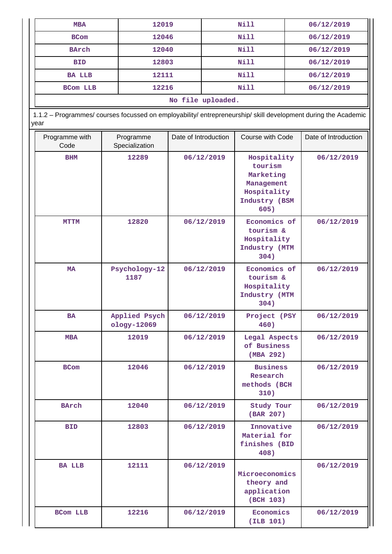| <b>MBA</b>                                                                                                             | 12019                        |                      |                   | <b>Nill</b>                                                                               | 06/12/2019 |                      |  |
|------------------------------------------------------------------------------------------------------------------------|------------------------------|----------------------|-------------------|-------------------------------------------------------------------------------------------|------------|----------------------|--|
| <b>BCom</b>                                                                                                            |                              | <b>Nill</b><br>12046 |                   |                                                                                           | 06/12/2019 |                      |  |
| <b>BArch</b>                                                                                                           | 12040                        |                      |                   | Nill                                                                                      |            | 06/12/2019           |  |
| <b>BID</b>                                                                                                             | 12803                        |                      | <b>Nill</b>       |                                                                                           | 06/12/2019 |                      |  |
| <b>BA LLB</b>                                                                                                          | 12111                        |                      |                   | <b>Nill</b>                                                                               | 06/12/2019 |                      |  |
| BCom LLB                                                                                                               | 12216                        |                      |                   | <b>Nill</b>                                                                               |            | 06/12/2019           |  |
|                                                                                                                        |                              |                      | No file uploaded. |                                                                                           |            |                      |  |
| 1.1.2 - Programmes/ courses focussed on employability/ entrepreneurship/ skill development during the Academic<br>year |                              |                      |                   |                                                                                           |            |                      |  |
| Programme with<br>Code                                                                                                 | Programme<br>Specialization  | Date of Introduction |                   | Course with Code                                                                          |            | Date of Introduction |  |
| <b>BHM</b>                                                                                                             | 12289                        | 06/12/2019           |                   | Hospitality<br>tourism<br>Marketing<br>Management<br>Hospitality<br>Industry (BSM<br>605) |            | 06/12/2019           |  |
| <b>MTTM</b>                                                                                                            | 12820                        |                      | 06/12/2019        | Economics of<br>tourism &<br>Hospitality<br>Industry (MTM<br>304)                         |            | 06/12/2019           |  |
| MA                                                                                                                     | Psychology-12<br>1187        | 06/12/2019           |                   | Economics of<br>tourism &<br>Hospitality<br>Industry (MTM<br>304)                         |            | 06/12/2019           |  |
| BA                                                                                                                     | Applied Psych<br>ology-12069 |                      | 06/12/2019        | Project (PSY<br>460)                                                                      |            | 06/12/2019           |  |
| <b>MBA</b>                                                                                                             | 12019                        |                      | 06/12/2019        | Legal Aspects<br>of Business<br>(MBA 292)                                                 |            | 06/12/2019           |  |
| <b>BCom</b>                                                                                                            | 12046                        |                      | 06/12/2019        | <b>Business</b><br>Research<br>methods (BCH<br>310)                                       |            | 06/12/2019           |  |
| <b>BArch</b>                                                                                                           | 12040                        |                      | 06/12/2019        | Study Tour<br>(BAR 207)                                                                   |            | 06/12/2019           |  |
| <b>BID</b>                                                                                                             | 12803                        | 06/12/2019           |                   | Innovative<br>Material for<br>finishes (BID<br>408)                                       |            | 06/12/2019           |  |
| <b>BA LLB</b>                                                                                                          | 12111                        | 06/12/2019           |                   | Microeconomics<br>theory and<br>application<br>(BCH 103)                                  |            | 06/12/2019           |  |
| <b>BCom LLB</b>                                                                                                        | 12216                        |                      | 06/12/2019        | Economics<br>(ILB 101)                                                                    |            | 06/12/2019           |  |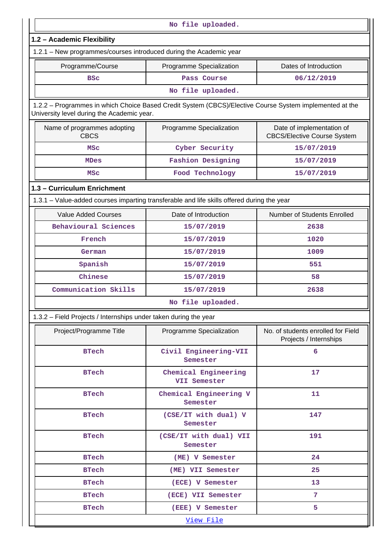|                                                                                                                                                       | No file uploaded.                    |                                                                 |  |  |  |  |  |
|-------------------------------------------------------------------------------------------------------------------------------------------------------|--------------------------------------|-----------------------------------------------------------------|--|--|--|--|--|
|                                                                                                                                                       |                                      |                                                                 |  |  |  |  |  |
| 1.2 - Academic Flexibility<br>1.2.1 - New programmes/courses introduced during the Academic year                                                      |                                      |                                                                 |  |  |  |  |  |
|                                                                                                                                                       |                                      |                                                                 |  |  |  |  |  |
| Programme/Course                                                                                                                                      | Programme Specialization             | Dates of Introduction                                           |  |  |  |  |  |
| <b>BSC</b>                                                                                                                                            | Pass Course                          | 06/12/2019                                                      |  |  |  |  |  |
|                                                                                                                                                       | No file uploaded.                    |                                                                 |  |  |  |  |  |
| 1.2.2 - Programmes in which Choice Based Credit System (CBCS)/Elective Course System implemented at the<br>University level during the Academic year. |                                      |                                                                 |  |  |  |  |  |
| Name of programmes adopting<br><b>CBCS</b>                                                                                                            | Programme Specialization             | Date of implementation of<br><b>CBCS/Elective Course System</b> |  |  |  |  |  |
| <b>MSC</b>                                                                                                                                            | Cyber Security                       | 15/07/2019                                                      |  |  |  |  |  |
| <b>MDes</b>                                                                                                                                           | <b>Fashion Designing</b>             | 15/07/2019                                                      |  |  |  |  |  |
| <b>MSC</b>                                                                                                                                            | Food Technology                      | 15/07/2019                                                      |  |  |  |  |  |
| 1.3 - Curriculum Enrichment                                                                                                                           |                                      |                                                                 |  |  |  |  |  |
| 1.3.1 - Value-added courses imparting transferable and life skills offered during the year                                                            |                                      |                                                                 |  |  |  |  |  |
| <b>Value Added Courses</b>                                                                                                                            | Date of Introduction                 | Number of Students Enrolled                                     |  |  |  |  |  |
| Behavioural Sciences                                                                                                                                  | 15/07/2019                           | 2638                                                            |  |  |  |  |  |
| French                                                                                                                                                | 15/07/2019                           | 1020                                                            |  |  |  |  |  |
| German                                                                                                                                                | 15/07/2019                           | 1009                                                            |  |  |  |  |  |
| Spanish                                                                                                                                               | 15/07/2019                           | 551                                                             |  |  |  |  |  |
| Chinese                                                                                                                                               | 15/07/2019                           | 58                                                              |  |  |  |  |  |
| Communication Skills                                                                                                                                  | 15/07/2019                           | 2638                                                            |  |  |  |  |  |
|                                                                                                                                                       | No file uploaded.                    |                                                                 |  |  |  |  |  |
| 1.3.2 - Field Projects / Internships under taken during the year                                                                                      |                                      |                                                                 |  |  |  |  |  |
| Project/Programme Title                                                                                                                               | Programme Specialization             | No. of students enrolled for Field<br>Projects / Internships    |  |  |  |  |  |
| <b>BTech</b>                                                                                                                                          | Civil Engineering-VII<br>Semester    | 6                                                               |  |  |  |  |  |
| <b>BTech</b>                                                                                                                                          | Chemical Engineering<br>VII Semester | 17                                                              |  |  |  |  |  |
| <b>BTech</b>                                                                                                                                          | Chemical Engineering V<br>Semester   | 11                                                              |  |  |  |  |  |
| <b>BTech</b>                                                                                                                                          | (CSE/IT with dual) V<br>Semester     | 147                                                             |  |  |  |  |  |
| <b>BTech</b>                                                                                                                                          | (CSE/IT with dual) VII<br>Semester   | 191                                                             |  |  |  |  |  |
| <b>BTech</b>                                                                                                                                          | (ME) V Semester                      | 24                                                              |  |  |  |  |  |
| <b>BTech</b>                                                                                                                                          | (ME) VII Semester                    | 25                                                              |  |  |  |  |  |
| <b>BTech</b>                                                                                                                                          | (ECE) V Semester                     | 13                                                              |  |  |  |  |  |
| <b>BTech</b>                                                                                                                                          | (ECE) VII Semester                   | 7 <sup>1</sup>                                                  |  |  |  |  |  |
| <b>BTech</b>                                                                                                                                          | (EEE) V Semester                     | 5                                                               |  |  |  |  |  |
| View File                                                                                                                                             |                                      |                                                                 |  |  |  |  |  |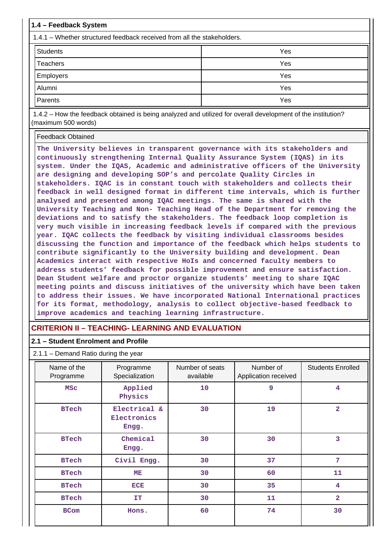| 1.4 – Feedback System                                                                                                               |     |  |  |  |  |  |
|-------------------------------------------------------------------------------------------------------------------------------------|-----|--|--|--|--|--|
| 1.4.1 – Whether structured feedback received from all the stakeholders.                                                             |     |  |  |  |  |  |
| <b>Students</b>                                                                                                                     | Yes |  |  |  |  |  |
| Teachers                                                                                                                            | Yes |  |  |  |  |  |
| <b>Employers</b>                                                                                                                    | Yes |  |  |  |  |  |
| Alumni                                                                                                                              | Yes |  |  |  |  |  |
| Parents                                                                                                                             | Yes |  |  |  |  |  |
| 1.4.2 – How the feedback obtained is being analyzed and utilized for overall development of the institution?<br>(maximum 500 words) |     |  |  |  |  |  |
| <b>Feedback Obtained</b>                                                                                                            |     |  |  |  |  |  |

**The University believes in transparent governance with its stakeholders and continuously strengthening Internal Quality Assurance System (IQAS) in its system. Under the IQAS, Academic and administrative officers of the University are designing and developing SOP's and percolate Quality Circles in stakeholders. IQAC is in constant touch with stakeholders and collects their feedback in well designed format in different time intervals, which is further analysed and presented among IQAC meetings. The same is shared with the University Teaching and Non- Teaching Head of the Department for removing the deviations and to satisfy the stakeholders. The feedback loop completion is very much visible in increasing feedback levels if compared with the previous year. IQAC collects the feedback by visiting individual classrooms besides discussing the function and importance of the feedback which helps students to contribute significantly to the University building and development. Dean Academics interact with respective HoIs and concerned faculty members to address students' feedback for possible improvement and ensure satisfaction. Dean Student welfare and proctor organize students' meeting to share IQAC meeting points and discuss initiatives of the university which have been taken to address their issues. We have incorporated National International practices for its format, methodology, analysis to collect objective-based feedback to improve academics and teaching learning infrastructure.**

### **CRITERION II – TEACHING- LEARNING AND EVALUATION**

### **2.1 – Student Enrolment and Profile**

2.1.1 – Demand Ratio during the year

| Name of the<br>Programme | Programme<br>Specialization          | Number of seats<br>available | Number of<br>Application received | <b>Students Enrolled</b> |
|--------------------------|--------------------------------------|------------------------------|-----------------------------------|--------------------------|
| <b>MSC</b>               | Applied<br>Physics                   | 10                           | 9                                 | 4                        |
| <b>BTech</b>             | Electrical &<br>Electronics<br>Engg. | 30                           | 19                                | $\overline{\mathbf{2}}$  |
| <b>BTech</b>             | Chemical<br>Engg.                    | 30                           | 30                                | 3                        |
| <b>BTech</b>             | Civil Engg.                          | 30                           | 37                                | 7                        |
| <b>BTech</b>             | MЕ                                   | 30                           | 60                                | 11                       |
| <b>BTech</b>             | <b>ECE</b>                           | 30                           | 35                                | 4                        |
| <b>BTech</b>             | <b>IT</b>                            | 30                           | 11                                | $\overline{\mathbf{2}}$  |
| <b>BCom</b>              | Hons.                                | 60                           | 74                                | 30                       |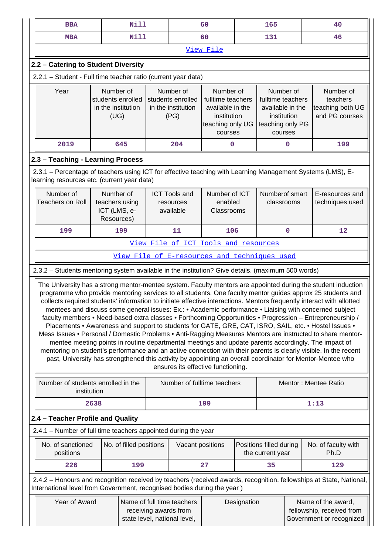|                                                                                                                                                                                                                               | <b>BBA</b>                                                                                                                                                                                                                                                                                                                                                                                                                                                                                                                                                                                                                                                                                                                                                                                                                                                                                                                                                                                                                                                                                                                                                                        | <b>Nill</b>                                                                                                                                                                                    |  |                                                                                                                                                                                                                                                                      | 60                                   | 165 |                                              |                                                             | 40                          |  |
|-------------------------------------------------------------------------------------------------------------------------------------------------------------------------------------------------------------------------------|-----------------------------------------------------------------------------------------------------------------------------------------------------------------------------------------------------------------------------------------------------------------------------------------------------------------------------------------------------------------------------------------------------------------------------------------------------------------------------------------------------------------------------------------------------------------------------------------------------------------------------------------------------------------------------------------------------------------------------------------------------------------------------------------------------------------------------------------------------------------------------------------------------------------------------------------------------------------------------------------------------------------------------------------------------------------------------------------------------------------------------------------------------------------------------------|------------------------------------------------------------------------------------------------------------------------------------------------------------------------------------------------|--|----------------------------------------------------------------------------------------------------------------------------------------------------------------------------------------------------------------------------------------------------------------------|--------------------------------------|-----|----------------------------------------------|-------------------------------------------------------------|-----------------------------|--|
|                                                                                                                                                                                                                               | <b>MBA</b>                                                                                                                                                                                                                                                                                                                                                                                                                                                                                                                                                                                                                                                                                                                                                                                                                                                                                                                                                                                                                                                                                                                                                                        | Nill                                                                                                                                                                                           |  |                                                                                                                                                                                                                                                                      | 60                                   | 131 |                                              |                                                             | 46                          |  |
|                                                                                                                                                                                                                               | View File                                                                                                                                                                                                                                                                                                                                                                                                                                                                                                                                                                                                                                                                                                                                                                                                                                                                                                                                                                                                                                                                                                                                                                         |                                                                                                                                                                                                |  |                                                                                                                                                                                                                                                                      |                                      |     |                                              |                                                             |                             |  |
|                                                                                                                                                                                                                               |                                                                                                                                                                                                                                                                                                                                                                                                                                                                                                                                                                                                                                                                                                                                                                                                                                                                                                                                                                                                                                                                                                                                                                                   | 2.2 - Catering to Student Diversity                                                                                                                                                            |  |                                                                                                                                                                                                                                                                      |                                      |     |                                              |                                                             |                             |  |
|                                                                                                                                                                                                                               | 2.2.1 - Student - Full time teacher ratio (current year data)                                                                                                                                                                                                                                                                                                                                                                                                                                                                                                                                                                                                                                                                                                                                                                                                                                                                                                                                                                                                                                                                                                                     |                                                                                                                                                                                                |  |                                                                                                                                                                                                                                                                      |                                      |     |                                              |                                                             |                             |  |
|                                                                                                                                                                                                                               | Year                                                                                                                                                                                                                                                                                                                                                                                                                                                                                                                                                                                                                                                                                                                                                                                                                                                                                                                                                                                                                                                                                                                                                                              | Number of<br>students enrolled<br>in the institution<br>(UG)                                                                                                                                   |  | Number of<br>Number of<br>Number of<br>students enrolled<br>fulltime teachers<br>fulltime teachers<br>in the institution<br>available in the<br>available in the<br>(PG)<br>institution<br>institution<br>teaching only UG<br>teaching only PG<br>courses<br>courses |                                      |     |                                              | Number of<br>teachers<br>teaching both UG<br>and PG courses |                             |  |
|                                                                                                                                                                                                                               | 2019                                                                                                                                                                                                                                                                                                                                                                                                                                                                                                                                                                                                                                                                                                                                                                                                                                                                                                                                                                                                                                                                                                                                                                              | 645                                                                                                                                                                                            |  | 204                                                                                                                                                                                                                                                                  | $\mathbf 0$                          |     | 0                                            |                                                             | 199                         |  |
|                                                                                                                                                                                                                               | 2.3 - Teaching - Learning Process                                                                                                                                                                                                                                                                                                                                                                                                                                                                                                                                                                                                                                                                                                                                                                                                                                                                                                                                                                                                                                                                                                                                                 |                                                                                                                                                                                                |  |                                                                                                                                                                                                                                                                      |                                      |     |                                              |                                                             |                             |  |
|                                                                                                                                                                                                                               |                                                                                                                                                                                                                                                                                                                                                                                                                                                                                                                                                                                                                                                                                                                                                                                                                                                                                                                                                                                                                                                                                                                                                                                   | 2.3.1 – Percentage of teachers using ICT for effective teaching with Learning Management Systems (LMS), E-<br>learning resources etc. (current year data)                                      |  |                                                                                                                                                                                                                                                                      |                                      |     |                                              |                                                             |                             |  |
| Number of<br>Number of<br>Number of ICT<br>Numberof smart<br><b>ICT Tools and</b><br><b>Teachers on Roll</b><br>teachers using<br>enabled<br>classrooms<br>resources<br>ICT (LMS, e-<br>available<br>Classrooms<br>Resources) |                                                                                                                                                                                                                                                                                                                                                                                                                                                                                                                                                                                                                                                                                                                                                                                                                                                                                                                                                                                                                                                                                                                                                                                   |                                                                                                                                                                                                |  |                                                                                                                                                                                                                                                                      |                                      |     | E-resources and<br>techniques used           |                                                             |                             |  |
|                                                                                                                                                                                                                               | 199                                                                                                                                                                                                                                                                                                                                                                                                                                                                                                                                                                                                                                                                                                                                                                                                                                                                                                                                                                                                                                                                                                                                                                               | 199                                                                                                                                                                                            |  | 11                                                                                                                                                                                                                                                                   | 106                                  |     | $\mathbf 0$                                  |                                                             | $12 \overline{ }$           |  |
|                                                                                                                                                                                                                               |                                                                                                                                                                                                                                                                                                                                                                                                                                                                                                                                                                                                                                                                                                                                                                                                                                                                                                                                                                                                                                                                                                                                                                                   |                                                                                                                                                                                                |  |                                                                                                                                                                                                                                                                      | View File of ICT Tools and resources |     |                                              |                                                             |                             |  |
|                                                                                                                                                                                                                               |                                                                                                                                                                                                                                                                                                                                                                                                                                                                                                                                                                                                                                                                                                                                                                                                                                                                                                                                                                                                                                                                                                                                                                                   |                                                                                                                                                                                                |  |                                                                                                                                                                                                                                                                      |                                      |     | View File of E-resources and techniques used |                                                             |                             |  |
|                                                                                                                                                                                                                               |                                                                                                                                                                                                                                                                                                                                                                                                                                                                                                                                                                                                                                                                                                                                                                                                                                                                                                                                                                                                                                                                                                                                                                                   | 2.3.2 - Students mentoring system available in the institution? Give details. (maximum 500 words)                                                                                              |  |                                                                                                                                                                                                                                                                      |                                      |     |                                              |                                                             |                             |  |
|                                                                                                                                                                                                                               | The University has a strong mentor-mentee system. Faculty mentors are appointed during the student induction<br>programme who provide mentoring services to all students. One faculty mentor guides approx 25 students and<br>collects required students' information to initiate effective interactions. Mentors frequently interact with allotted<br>mentees and discuss some general issues: Ex.: • Academic performance • Liaising with concerned subject<br>faculty members • Need-based extra classes • Forthcoming Opportunities • Progression - Entrepreneurship /<br>Placements • Awareness and support to students for GATE, GRE, CAT, ISRO, SAIL, etc. • Hostel Issues •<br>Mess Issues • Personal / Domestic Problems • Anti-Ragging Measures Mentors are instructed to share mentor-<br>mentee meeting points in routine departmental meetings and update parents accordingly. The impact of<br>mentoring on student's performance and an active connection with their parents is clearly visible. In the recent<br>past, University has strengthened this activity by appointing an overall coordinator for Mentor-Mentee who<br>ensures its effective functioning. |                                                                                                                                                                                                |  |                                                                                                                                                                                                                                                                      |                                      |     |                                              |                                                             |                             |  |
|                                                                                                                                                                                                                               | Number of students enrolled in the<br>institution                                                                                                                                                                                                                                                                                                                                                                                                                                                                                                                                                                                                                                                                                                                                                                                                                                                                                                                                                                                                                                                                                                                                 |                                                                                                                                                                                                |  |                                                                                                                                                                                                                                                                      | Number of fulltime teachers          |     |                                              |                                                             | Mentor: Mentee Ratio        |  |
|                                                                                                                                                                                                                               |                                                                                                                                                                                                                                                                                                                                                                                                                                                                                                                                                                                                                                                                                                                                                                                                                                                                                                                                                                                                                                                                                                                                                                                   | 2638                                                                                                                                                                                           |  |                                                                                                                                                                                                                                                                      | 199                                  |     |                                              | 1:13                                                        |                             |  |
|                                                                                                                                                                                                                               | 2.4 - Teacher Profile and Quality                                                                                                                                                                                                                                                                                                                                                                                                                                                                                                                                                                                                                                                                                                                                                                                                                                                                                                                                                                                                                                                                                                                                                 |                                                                                                                                                                                                |  |                                                                                                                                                                                                                                                                      |                                      |     |                                              |                                                             |                             |  |
|                                                                                                                                                                                                                               |                                                                                                                                                                                                                                                                                                                                                                                                                                                                                                                                                                                                                                                                                                                                                                                                                                                                                                                                                                                                                                                                                                                                                                                   | 2.4.1 - Number of full time teachers appointed during the year                                                                                                                                 |  |                                                                                                                                                                                                                                                                      |                                      |     |                                              |                                                             |                             |  |
|                                                                                                                                                                                                                               | No. of sanctioned<br>positions                                                                                                                                                                                                                                                                                                                                                                                                                                                                                                                                                                                                                                                                                                                                                                                                                                                                                                                                                                                                                                                                                                                                                    | No. of filled positions                                                                                                                                                                        |  | Vacant positions                                                                                                                                                                                                                                                     |                                      |     | Positions filled during<br>the current year  |                                                             | No. of faculty with<br>Ph.D |  |
|                                                                                                                                                                                                                               | 226                                                                                                                                                                                                                                                                                                                                                                                                                                                                                                                                                                                                                                                                                                                                                                                                                                                                                                                                                                                                                                                                                                                                                                               | 199                                                                                                                                                                                            |  |                                                                                                                                                                                                                                                                      | 27                                   |     | 35                                           |                                                             | 129                         |  |
|                                                                                                                                                                                                                               |                                                                                                                                                                                                                                                                                                                                                                                                                                                                                                                                                                                                                                                                                                                                                                                                                                                                                                                                                                                                                                                                                                                                                                                   | 2.4.2 - Honours and recognition received by teachers (received awards, recognition, fellowships at State, National,<br>International level from Government, recognised bodies during the year) |  |                                                                                                                                                                                                                                                                      |                                      |     |                                              |                                                             |                             |  |
|                                                                                                                                                                                                                               | Name of full time teachers<br>Year of Award<br>Designation<br>Name of the award,<br>fellowship, received from<br>receiving awards from<br>state level, national level,<br>Government or recognized                                                                                                                                                                                                                                                                                                                                                                                                                                                                                                                                                                                                                                                                                                                                                                                                                                                                                                                                                                                |                                                                                                                                                                                                |  |                                                                                                                                                                                                                                                                      |                                      |     |                                              |                                                             |                             |  |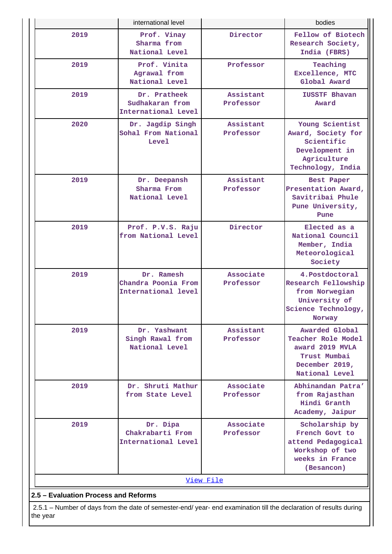|                                      | international level                                                                                                |                        | bodies                                                                                                      |  |  |  |  |  |
|--------------------------------------|--------------------------------------------------------------------------------------------------------------------|------------------------|-------------------------------------------------------------------------------------------------------------|--|--|--|--|--|
| 2019                                 | Prof. Vinay<br>Sharma from<br>National Level                                                                       | Director               | Fellow of Biotech<br>Research Society,<br>India (FBRS)                                                      |  |  |  |  |  |
| 2019                                 | Prof. Vinita<br>Agrawal from<br>National Level                                                                     | Professor              | Teaching<br>Excellence, MTC<br>Global Award                                                                 |  |  |  |  |  |
| 2019                                 | Dr. Pratheek<br>Sudhakaran from<br>International Level                                                             | Assistant<br>Professor | <b>IUSSTF Bhavan</b><br>Award                                                                               |  |  |  |  |  |
| 2020                                 | Dr. Jagdip Singh<br>Sohal From National<br>Level                                                                   | Assistant<br>Professor | Young Scientist<br>Award, Society for<br>Scientific<br>Development in<br>Agriculture<br>Technology, India   |  |  |  |  |  |
| 2019                                 | Dr. Deepansh<br>Sharma From<br>National Level                                                                      | Assistant<br>Professor | Best Paper<br>Presentation Award,<br>Savitribai Phule<br>Pune University,<br>Pune                           |  |  |  |  |  |
| 2019                                 | Prof. P.V.S. Raju<br>from National Level                                                                           | Director               | Elected as a<br>National Council<br>Member, India<br>Meteorological<br>Society                              |  |  |  |  |  |
| 2019                                 | Dr. Ramesh<br>Chandra Poonia From<br>International level                                                           | Associate<br>Professor | 4.Postdoctoral<br>Research Fellowship<br>from Norwegian<br>University of<br>Science Technology,<br>Norway   |  |  |  |  |  |
| 2019                                 | Dr. Yashwant<br>Singh Rawal from<br>National Level                                                                 | Assistant<br>Professor | Awarded Global<br>Teacher Role Model<br>award 2019 MVLA<br>Trust Mumbai<br>December 2019,<br>National Level |  |  |  |  |  |
| 2019                                 | Dr. Shruti Mathur<br>from State Level                                                                              | Associate<br>Professor | Abhinandan Patra'<br>from Rajasthan<br>Hindi Granth<br>Academy, Jaipur                                      |  |  |  |  |  |
| 2019                                 | Dr. Dipa<br>Chakrabarti From<br>International Level                                                                | Associate<br>Professor | Scholarship by<br>French Govt to<br>attend Pedagogical<br>Workshop of two<br>weeks in France<br>(Besancon)  |  |  |  |  |  |
|                                      |                                                                                                                    | View File              |                                                                                                             |  |  |  |  |  |
| 2.5 - Evaluation Process and Reforms |                                                                                                                    |                        |                                                                                                             |  |  |  |  |  |
|                                      | 2.5.1 – Number of days from the date of semester-end/ year- end examination till the declaration of results during |                        |                                                                                                             |  |  |  |  |  |

the year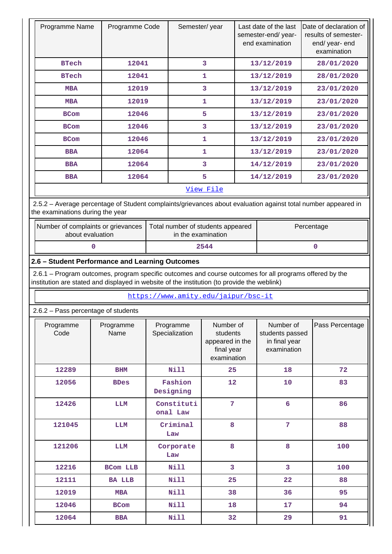|                                                                                                                                                                                                        | Programme Name<br>Programme Code                                                                                                                  |                                                         | Semester/year                                                         | Last date of the last<br>semester-end/year-<br>end examination |                                                              | Date of declaration of<br>results of semester-<br>end/ year- end<br>examination |  |  |  |  |  |
|--------------------------------------------------------------------------------------------------------------------------------------------------------------------------------------------------------|---------------------------------------------------------------------------------------------------------------------------------------------------|---------------------------------------------------------|-----------------------------------------------------------------------|----------------------------------------------------------------|--------------------------------------------------------------|---------------------------------------------------------------------------------|--|--|--|--|--|
| <b>BTech</b>                                                                                                                                                                                           | 12041                                                                                                                                             |                                                         | 3                                                                     | 13/12/2019                                                     |                                                              | 28/01/2020                                                                      |  |  |  |  |  |
| <b>BTech</b>                                                                                                                                                                                           | 12041                                                                                                                                             |                                                         | 1                                                                     |                                                                | 13/12/2019                                                   | 28/01/2020                                                                      |  |  |  |  |  |
| <b>MBA</b>                                                                                                                                                                                             | 12019                                                                                                                                             |                                                         | 3                                                                     |                                                                | 13/12/2019                                                   | 23/01/2020                                                                      |  |  |  |  |  |
| <b>MBA</b>                                                                                                                                                                                             | 12019                                                                                                                                             |                                                         | 1                                                                     |                                                                | 13/12/2019                                                   | 23/01/2020                                                                      |  |  |  |  |  |
| <b>BCom</b>                                                                                                                                                                                            | 12046                                                                                                                                             |                                                         | 5                                                                     |                                                                | 13/12/2019                                                   | 23/01/2020                                                                      |  |  |  |  |  |
| <b>BCom</b>                                                                                                                                                                                            | 12046                                                                                                                                             |                                                         | 3                                                                     |                                                                | 13/12/2019                                                   | 23/01/2020                                                                      |  |  |  |  |  |
| <b>BCom</b>                                                                                                                                                                                            | 12046                                                                                                                                             |                                                         | 1                                                                     |                                                                | 13/12/2019                                                   | 23/01/2020                                                                      |  |  |  |  |  |
| <b>BBA</b>                                                                                                                                                                                             | 12064                                                                                                                                             |                                                         | 1                                                                     |                                                                | 13/12/2019                                                   | 23/01/2020                                                                      |  |  |  |  |  |
| <b>BBA</b>                                                                                                                                                                                             | 12064                                                                                                                                             |                                                         | 3                                                                     |                                                                | 14/12/2019                                                   | 23/01/2020                                                                      |  |  |  |  |  |
| <b>BBA</b>                                                                                                                                                                                             | 12064                                                                                                                                             |                                                         | 5                                                                     |                                                                | 14/12/2019                                                   | 23/01/2020                                                                      |  |  |  |  |  |
|                                                                                                                                                                                                        |                                                                                                                                                   |                                                         | View File                                                             |                                                                |                                                              |                                                                                 |  |  |  |  |  |
|                                                                                                                                                                                                        | 2.5.2 - Average percentage of Student complaints/grievances about evaluation against total number appeared in<br>the examinations during the year |                                                         |                                                                       |                                                                |                                                              |                                                                                 |  |  |  |  |  |
| Number of complaints or grievances<br>about evaluation                                                                                                                                                 |                                                                                                                                                   | Total number of students appeared<br>in the examination |                                                                       |                                                                |                                                              | Percentage                                                                      |  |  |  |  |  |
| 0                                                                                                                                                                                                      |                                                                                                                                                   |                                                         | 2544                                                                  |                                                                |                                                              | 0                                                                               |  |  |  |  |  |
| 2.6 - Student Performance and Learning Outcomes                                                                                                                                                        |                                                                                                                                                   |                                                         |                                                                       |                                                                |                                                              |                                                                                 |  |  |  |  |  |
| 2.6.1 – Program outcomes, program specific outcomes and course outcomes for all programs offered by the<br>institution are stated and displayed in website of the institution (to provide the weblink) |                                                                                                                                                   |                                                         |                                                                       |                                                                |                                                              |                                                                                 |  |  |  |  |  |
|                                                                                                                                                                                                        |                                                                                                                                                   | https://www.amity.edu/jaipur/bsc-it                     |                                                                       |                                                                |                                                              |                                                                                 |  |  |  |  |  |
| 2.6.2 - Pass percentage of students                                                                                                                                                                    |                                                                                                                                                   |                                                         |                                                                       |                                                                |                                                              |                                                                                 |  |  |  |  |  |
|                                                                                                                                                                                                        |                                                                                                                                                   |                                                         |                                                                       |                                                                |                                                              |                                                                                 |  |  |  |  |  |
| Programme<br>Code                                                                                                                                                                                      | Programme<br>Name                                                                                                                                 | Programme<br>Specialization                             | Number of<br>students<br>appeared in the<br>final year<br>examination |                                                                | Number of<br>students passed<br>in final year<br>examination | Pass Percentage                                                                 |  |  |  |  |  |
| 12289                                                                                                                                                                                                  | <b>BHM</b>                                                                                                                                        | <b>Nill</b>                                             | 25                                                                    |                                                                | 18                                                           | 72                                                                              |  |  |  |  |  |
| 12056                                                                                                                                                                                                  | <b>BDes</b>                                                                                                                                       | Fashion<br>Designing                                    | 12                                                                    |                                                                | 10                                                           | 83                                                                              |  |  |  |  |  |
| 12426                                                                                                                                                                                                  | LLM                                                                                                                                               | Constituti<br>onal Law                                  | $7\phantom{.}$                                                        |                                                                | $6\overline{6}$                                              | 86                                                                              |  |  |  |  |  |
| 121045                                                                                                                                                                                                 | <b>LLM</b>                                                                                                                                        | Criminal<br>Law                                         | 8                                                                     |                                                                | $\overline{7}$                                               | 88                                                                              |  |  |  |  |  |
| 121206                                                                                                                                                                                                 | LLM                                                                                                                                               | Corporate<br>Law                                        | 8                                                                     |                                                                | 8                                                            | 100                                                                             |  |  |  |  |  |
| 12216                                                                                                                                                                                                  | <b>BCom LLB</b>                                                                                                                                   | <b>Nill</b>                                             | 3                                                                     |                                                                | $\overline{3}$                                               | 100                                                                             |  |  |  |  |  |
| 12111                                                                                                                                                                                                  | <b>BA LLB</b>                                                                                                                                     | <b>Nill</b>                                             | 25                                                                    |                                                                | 22                                                           | 88                                                                              |  |  |  |  |  |
| 12019                                                                                                                                                                                                  | <b>MBA</b>                                                                                                                                        | <b>Nill</b>                                             | 38                                                                    |                                                                | 36                                                           | 95                                                                              |  |  |  |  |  |
| 12046                                                                                                                                                                                                  | <b>BCom</b>                                                                                                                                       | <b>Nill</b>                                             | 18                                                                    |                                                                | 17                                                           | 94                                                                              |  |  |  |  |  |

÷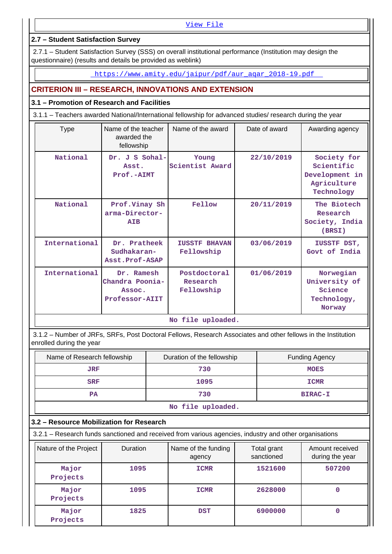[View File](https://assessmentonline.naac.gov.in/public/Postacc/Pass_percentage/10908_Pass_percentage_1621422636.xlsx)

### **2.7 – Student Satisfaction Survey**

 2.7.1 – Student Satisfaction Survey (SSS) on overall institutional performance (Institution may design the questionnaire) (results and details be provided as weblink)

https://www.amity.edu/jaipur/pdf/aur\_aqar\_2018-19.pdf

# **CRITERION III – RESEARCH, INNOVATIONS AND EXTENSION**

### **3.1 – Promotion of Research and Facilities**

3.1.1 – Teachers awarded National/International fellowship for advanced studies/ research during the year

| <b>Type</b>   | Name of the teacher<br>awarded the<br>fellowship          | Name of the award                      | Date of award | Awarding agency                                                          |
|---------------|-----------------------------------------------------------|----------------------------------------|---------------|--------------------------------------------------------------------------|
| National      | Dr. J S Sohal-<br>Asst.<br>Prof.-AIMT                     | Young<br>Scientist Award               | 22/10/2019    | Society for<br>Scientific<br>Development in<br>Agriculture<br>Technology |
| National      | Prof.Vinay Sh<br>arma-Director-<br><b>ATB</b>             | Fellow                                 | 20/11/2019    | The Biotech<br>Research<br>Society, India<br>(BRSI)                      |
| International | Dr. Pratheek<br>Sudhakaran-<br>Asst.Prof-ASAP             | <b>IUSSTF BHAVAN</b><br>Fellowship     | 03/06/2019    | IUSSTF DST,<br>Govt of India                                             |
| International | Dr. Ramesh<br>Chandra Poonia-<br>Assoc.<br>Professor-AIIT | Postdoctoral<br>Research<br>Fellowship | 01/06/2019    | Norwegian<br>University of<br>Science<br>Technology,<br>Norway           |
|               |                                                           | No file uploaded.                      |               |                                                                          |

 3.1.2 – Number of JRFs, SRFs, Post Doctoral Fellows, Research Associates and other fellows in the Institution enrolled during the year

| Name of Research fellowship | Duration of the fellowship | <b>Funding Agency</b> |  |  |  |  |
|-----------------------------|----------------------------|-----------------------|--|--|--|--|
| JRF                         | 730                        | <b>MOES</b>           |  |  |  |  |
| <b>SRF</b>                  | 1095                       | <b>ICMR</b>           |  |  |  |  |
| <b>PA</b>                   | 730                        | <b>BIRAC-I</b>        |  |  |  |  |
|                             |                            |                       |  |  |  |  |

**No file uploaded.**

### **3.2 – Resource Mobilization for Research**

3.2.1 – Research funds sanctioned and received from various agencies, industry and other organisations

| Nature of the Project | Duration | Name of the funding<br>agency | Total grant<br>sanctioned | Amount received<br>during the year |
|-----------------------|----------|-------------------------------|---------------------------|------------------------------------|
| Major<br>Projects     | 1095     | <b>ICMR</b>                   | 1521600                   | 507200                             |
| Major<br>Projects     | 1095     | <b>ICMR</b>                   | 2628000                   | 0                                  |
| Major<br>Projects     | 1825     | <b>DST</b>                    | 6900000                   | 0                                  |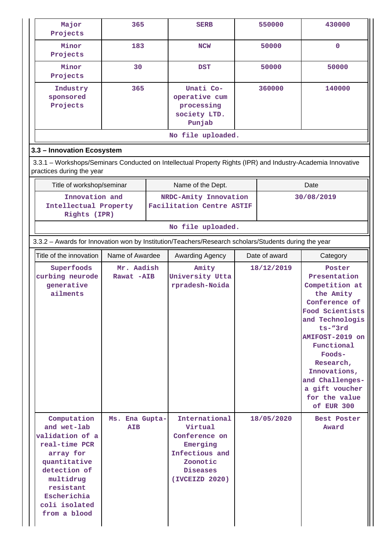| Major<br>Projects                                                                                                                                                                     | 365                          |  | <b>SERB</b>                                                                                                              | 550000     |               | 430000                                                                                                                                                                                                                                                                  |  |  |
|---------------------------------------------------------------------------------------------------------------------------------------------------------------------------------------|------------------------------|--|--------------------------------------------------------------------------------------------------------------------------|------------|---------------|-------------------------------------------------------------------------------------------------------------------------------------------------------------------------------------------------------------------------------------------------------------------------|--|--|
| Minor<br>Projects                                                                                                                                                                     | 183                          |  | <b>NCW</b>                                                                                                               | 50000      |               | $\mathbf{0}$                                                                                                                                                                                                                                                            |  |  |
| Minor<br>Projects                                                                                                                                                                     | 30                           |  | <b>DST</b>                                                                                                               |            | 50000         | 50000                                                                                                                                                                                                                                                                   |  |  |
| Industry<br>sponsored<br>Projects                                                                                                                                                     | 365                          |  | Unati Co-<br>operative cum<br>processing<br>society LTD.<br>Punjab                                                       |            | 360000        | 140000                                                                                                                                                                                                                                                                  |  |  |
| No file uploaded.                                                                                                                                                                     |                              |  |                                                                                                                          |            |               |                                                                                                                                                                                                                                                                         |  |  |
| 3.3 - Innovation Ecosystem                                                                                                                                                            |                              |  |                                                                                                                          |            |               |                                                                                                                                                                                                                                                                         |  |  |
| 3.3.1 – Workshops/Seminars Conducted on Intellectual Property Rights (IPR) and Industry-Academia Innovative<br>practices during the year                                              |                              |  |                                                                                                                          |            |               |                                                                                                                                                                                                                                                                         |  |  |
| Title of workshop/seminar                                                                                                                                                             |                              |  | Name of the Dept.                                                                                                        |            |               | Date                                                                                                                                                                                                                                                                    |  |  |
| Innovation and<br>Intellectual Property<br>Rights (IPR)                                                                                                                               |                              |  | NRDC-Amity Innovation<br>Facilitation Centre ASTIF                                                                       | 30/08/2019 |               |                                                                                                                                                                                                                                                                         |  |  |
|                                                                                                                                                                                       |                              |  | No file uploaded.                                                                                                        |            |               |                                                                                                                                                                                                                                                                         |  |  |
| 3.3.2 - Awards for Innovation won by Institution/Teachers/Research scholars/Students during the year                                                                                  |                              |  |                                                                                                                          |            |               |                                                                                                                                                                                                                                                                         |  |  |
| Title of the innovation                                                                                                                                                               | Name of Awardee              |  | Awarding Agency                                                                                                          |            | Date of award | Category                                                                                                                                                                                                                                                                |  |  |
| Superfoods<br>curbing neurode<br>generative<br>ailments                                                                                                                               | Mr. Aadish<br>Rawat -AIB     |  | Amity<br>University Utta<br>rpradesh-Noida                                                                               |            | 18/12/2019    | Poster<br>Presentation<br>Competition at<br>the Amity<br>Conference of<br>Food Scientists<br>and Technologis<br>$ts - "3rd$<br>AMIFOST-2019 on<br>Functional<br>Foods-<br>Research,<br>Innovations,<br>and Challenges-<br>a gift voucher<br>for the value<br>of EUR 300 |  |  |
| Computation<br>and wet-lab<br>validation of a<br>real-time PCR<br>array for<br>quantitative<br>detection of<br>multidrug<br>resistant<br>Escherichia<br>coli isolated<br>from a blood | Ms. Ena Gupta-<br><b>AIB</b> |  | International<br>Virtual<br>Conference on<br>Emerging<br>Infectious and<br>Zoonotic<br><b>Diseases</b><br>(IVCEIZD 2020) |            | 18/05/2020    | Best Poster<br>Award                                                                                                                                                                                                                                                    |  |  |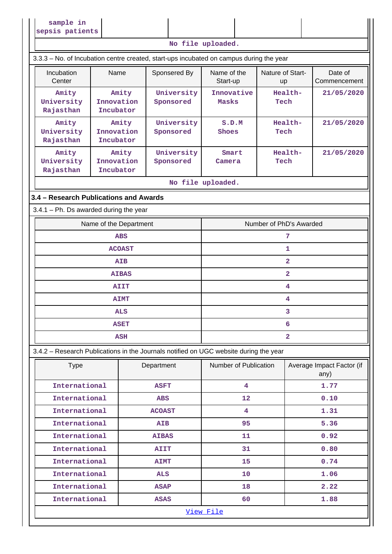| sample in<br>sepsis patients                                                            |                                  |                         |                         |                         |                         |                                   |  |
|-----------------------------------------------------------------------------------------|----------------------------------|-------------------------|-------------------------|-------------------------|-------------------------|-----------------------------------|--|
|                                                                                         |                                  |                         |                         | No file uploaded.       |                         |                                   |  |
| 3.3.3 - No. of Incubation centre created, start-ups incubated on campus during the year |                                  |                         |                         |                         |                         |                                   |  |
| Incubation<br>Center                                                                    | Name                             |                         | Sponsered By            | Name of the<br>Start-up | Nature of Start-<br>up  | Date of<br>Commencement           |  |
| Amity<br>University<br>Rajasthan                                                        | Amity<br>Innovation<br>Incubator |                         | University<br>Sponsored | Innovative<br>Masks     | Health-<br>Tech         | 21/05/2020                        |  |
| Amity<br>University<br>Rajasthan                                                        | Amity<br>Innovation<br>Incubator | University<br>Sponsored |                         | S.D.M<br>Shoes          | Health-<br>Tech         | 21/05/2020                        |  |
| Amity<br>University<br>Rajasthan                                                        | Amity<br>Innovation<br>Incubator |                         | University<br>Sponsored | Smart<br>Camera         | Health-<br>Tech         | 21/05/2020                        |  |
|                                                                                         |                                  |                         |                         | No file uploaded.       |                         |                                   |  |
| 3.4 - Research Publications and Awards                                                  |                                  |                         |                         |                         |                         |                                   |  |
| $3.4.1$ – Ph. Ds awarded during the year                                                |                                  |                         |                         |                         |                         |                                   |  |
|                                                                                         | Name of the Department           |                         |                         |                         | Number of PhD's Awarded |                                   |  |
|                                                                                         | <b>ABS</b>                       |                         |                         | 7                       |                         |                                   |  |
|                                                                                         | <b>ACOAST</b>                    |                         |                         |                         | 1                       |                                   |  |
|                                                                                         | <b>AIB</b>                       |                         |                         |                         | $\overline{2}$          |                                   |  |
|                                                                                         | <b>AIBAS</b>                     |                         |                         |                         | $\overline{2}$          |                                   |  |
|                                                                                         | <b>AIIT</b>                      |                         |                         |                         | 4                       |                                   |  |
|                                                                                         | <b>AIMT</b>                      |                         |                         |                         | 4                       |                                   |  |
|                                                                                         | <b>ALS</b>                       |                         |                         |                         | 3                       |                                   |  |
|                                                                                         | <b>ASET</b>                      |                         |                         |                         | 6                       |                                   |  |
|                                                                                         | <b>ASH</b>                       |                         |                         |                         | $\overline{\mathbf{2}}$ |                                   |  |
| 3.4.2 - Research Publications in the Journals notified on UGC website during the year   |                                  |                         |                         |                         |                         |                                   |  |
| <b>Type</b>                                                                             |                                  |                         | Department              | Number of Publication   |                         | Average Impact Factor (if<br>any) |  |
| International                                                                           |                                  |                         | <b>ASFT</b>             | $\overline{\mathbf{4}}$ |                         | 1.77                              |  |
| International                                                                           |                                  |                         | <b>ABS</b>              | 12                      |                         | 0.10                              |  |
| International                                                                           |                                  |                         | <b>ACOAST</b>           | $\overline{\mathbf{4}}$ |                         | 1.31                              |  |
| International                                                                           |                                  |                         | <b>AIB</b>              | 95                      |                         | 5.36                              |  |
| International                                                                           |                                  |                         | <b>AIBAS</b>            | 11                      |                         | 0.92                              |  |
| International                                                                           |                                  |                         | <b>AIIT</b>             | 31                      |                         | 0.80                              |  |
| International                                                                           |                                  |                         | <b>AIMT</b>             | 15                      |                         | 0.74                              |  |
| International                                                                           |                                  |                         | <b>ALS</b>              | 10                      |                         | 1.06                              |  |
| International                                                                           |                                  |                         | <b>ASAP</b>             | 18                      |                         | 2.22                              |  |
| International                                                                           |                                  |                         | <b>ASAS</b>             | 60                      |                         | 1.88                              |  |
| View File                                                                               |                                  |                         |                         |                         |                         |                                   |  |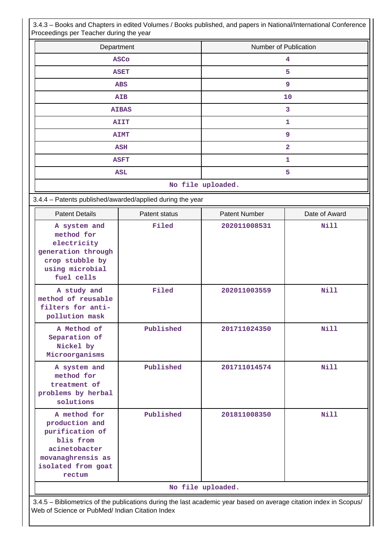3.4.3 – Books and Chapters in edited Volumes / Books published, and papers in National/International Conference Proceedings per Teacher during the year

| Number of Publication |
|-----------------------|
| 4                     |
| 5                     |
| 9                     |
| 10                    |
| 3                     |
| 1                     |
| 9                     |
| $\overline{a}$        |
| 1                     |
| 5                     |
|                       |

**No file uploaded.**

|  |  |  | 3.4.4 - Patents published/awarded/applied during the year |
|--|--|--|-----------------------------------------------------------|
|--|--|--|-----------------------------------------------------------|

| <b>Patent Details</b>                                                                                                                | Patent status                                                                                                                                                         | <b>Patent Number</b> | Date of Award |  |  |  |  |  |
|--------------------------------------------------------------------------------------------------------------------------------------|-----------------------------------------------------------------------------------------------------------------------------------------------------------------------|----------------------|---------------|--|--|--|--|--|
| A system and<br>method for<br>electricity<br>generation through<br>crop stubble by<br>using microbial<br>fuel cells                  | Filed                                                                                                                                                                 | 202011008531         | Nill          |  |  |  |  |  |
| A study and<br>method of reusable<br>filters for anti-<br>pollution mask                                                             | Filed                                                                                                                                                                 | 202011003559         | Nill          |  |  |  |  |  |
| A Method of<br>Separation of<br>Nickel by<br>Microorganisms                                                                          | Published                                                                                                                                                             | 201711024350         | <b>Nill</b>   |  |  |  |  |  |
| A system and<br>method for<br>treatment of<br>problems by herbal<br>solutions                                                        | Published                                                                                                                                                             | 201711014574         | Nill          |  |  |  |  |  |
| A method for<br>production and<br>purification of<br>blis from<br>acinetobacter<br>movanaghrensis as<br>isolated from goat<br>rectum | Published                                                                                                                                                             | 201811008350         | <b>Nill</b>   |  |  |  |  |  |
|                                                                                                                                      |                                                                                                                                                                       | No file uploaded.    |               |  |  |  |  |  |
|                                                                                                                                      | 3.4.5 - Bibliometrics of the publications during the last academic year based on average citation index in Scopus/<br>Web of Science or PubMed/ Indian Citation Index |                      |               |  |  |  |  |  |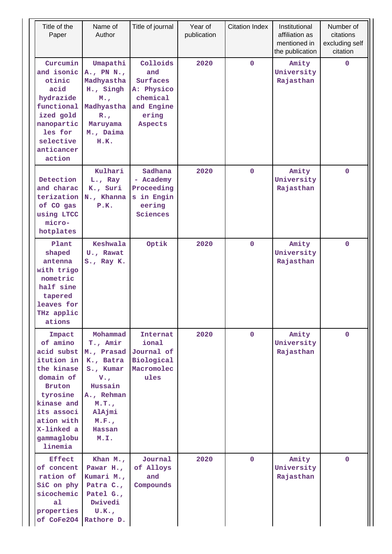| Title of the<br>Paper                                                                                                                                                                   | Name of<br>Author                                                                                                                                   | Title of journal                                                                        | Year of<br>publication | <b>Citation Index</b> | Institutional<br>affiliation as<br>mentioned in<br>the publication | Number of<br>citations<br>excluding self<br>citation |
|-----------------------------------------------------------------------------------------------------------------------------------------------------------------------------------------|-----------------------------------------------------------------------------------------------------------------------------------------------------|-----------------------------------------------------------------------------------------|------------------------|-----------------------|--------------------------------------------------------------------|------------------------------------------------------|
| Curcumin<br>and isonic<br>otinic<br>acid<br>hydrazide<br>functional<br>ized gold<br>nanopartic<br>les for<br>selective<br>anticancer<br>action                                          | Umapathi<br>A., PN N.,<br>Madhyastha<br>H., Singh<br>M.,<br>Madhyastha<br>$R_{\bullet}$<br>Maruyama<br>M., Daima<br>H.K.                            | Colloids<br>and<br>Surfaces<br>A: Physico<br>chemical<br>and Engine<br>ering<br>Aspects | 2020                   | $\mathbf 0$           | Amity<br>University<br>Rajasthan                                   | $\mathbf{0}$                                         |
| Detection<br>and charac<br>terization<br>of CO gas<br>using LTCC<br>micro-<br>hotplates                                                                                                 | Kulhari<br>L., Ray<br>K., Suri<br>N., Khanna<br>P.K.                                                                                                | Sadhana<br>- Academy<br>Proceeding<br>s in Engin<br>eering<br>Sciences                  | 2020                   | $\mathbf 0$           | Amity<br>University<br>Rajasthan                                   | $\mathbf{0}$                                         |
| Plant<br>shaped<br>antenna<br>with trigo<br>nometric<br>half sine<br>tapered<br>leaves for<br>THz applic<br>ations                                                                      | Keshwala<br>U., Rawat<br>S., Ray K.                                                                                                                 | Optik                                                                                   | 2020                   | $\mathbf 0$           | Amity<br>University<br>Rajasthan                                   | $\mathbf 0$                                          |
| Impact<br>of amino<br>acid subst<br>itution in<br>the kinase<br>domain of<br><b>Bruton</b><br>tyrosine<br>kinase and<br>its associ<br>ation with<br>X-linked a<br>gammaglobu<br>linemia | Mohammad<br>T., Amir<br>M., Prasad<br>K., Batra<br>S., Kumar<br>$V_{\bullet}$<br>Hussain<br>A., Rehman<br>M.T.<br>AlAjmi<br>M.F.,<br>Hassan<br>M.I. | Internat<br>ional<br>Journal of<br>Biological<br>Macromolec<br>ules                     | 2020                   | $\mathbf{0}$          | Amity<br>University<br>Rajasthan                                   | $\mathbf{0}$                                         |
| <b>Effect</b><br>of concent<br>ration of<br>SiC on phy<br>sicochemic<br>a <sub>1</sub><br>properties<br>of CoFe204                                                                      | Khan $M_{\star}$ ,<br>Pawar H.,<br>Kumari M.,<br>Patra C.,<br>Patel G.,<br>Dwivedi<br>U.K.<br>Rathore D.                                            | Journal<br>of Alloys<br>and<br>Compounds                                                | 2020                   | $\mathbf{0}$          | Amity<br>University<br>Rajasthan                                   | $\mathbf{0}$                                         |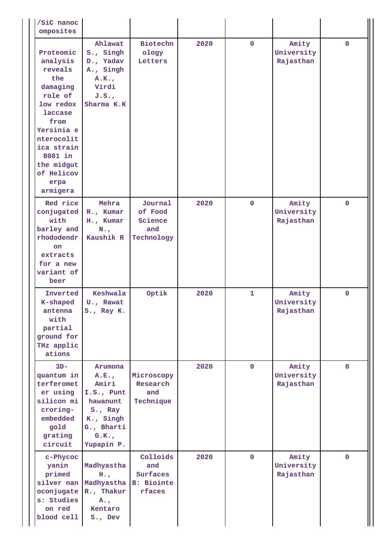| /SiC nanoc<br>omposites                                                                                                                                                                             |                                                                                                                   |                                                            |      |              |                                  |              |
|-----------------------------------------------------------------------------------------------------------------------------------------------------------------------------------------------------|-------------------------------------------------------------------------------------------------------------------|------------------------------------------------------------|------|--------------|----------------------------------|--------------|
| Proteomic<br>analysis<br>reveals<br>the<br>damaging<br>role of<br>low redox<br>laccase<br>from<br>Yersinia e<br>nterocolit<br>ica strain<br>8081 in<br>the midgut<br>of Helicov<br>erpa<br>armigera | Ahlawat<br>S., Singh<br>D., Yadav<br>A., Singh<br>A.K.<br>Virdi<br>J.S.<br>Sharma K.K                             | Biotechn<br>ology<br>Letters                               | 2020 | $\mathbf 0$  | Amity<br>University<br>Rajasthan | $\mathbf{0}$ |
| Red rice<br>conjugated<br>with<br>barley and<br>rhododendr<br>on<br>extracts<br>for a new<br>variant of<br>beer                                                                                     | Mehra<br>R., Kumar<br>H., Kumar<br>$N_{\cdot}$<br>Kaushik R                                                       | Journal<br>of Food<br>Science<br>and<br>Technology         | 2020 | $\mathbf 0$  | Amity<br>University<br>Rajasthan | $\mathbf 0$  |
| Inverted<br>K-shaped<br>antenna<br>with<br>partial<br>ground for<br>THz applic<br>ations                                                                                                            | Keshwala<br>U., Rawat<br>S., Ray K.                                                                               | Optik                                                      | 2020 | 1            | Amity<br>University<br>Rajasthan | $\mathbf{0}$ |
| $3D -$<br>quantum in<br>terferomet<br>er using<br>silicon mi<br>croring-<br>embedded<br>gold<br>grating<br>circuit                                                                                  | Arumona<br>A.E.,<br>Amiri<br>$I.S.,$ Punt<br>hawanunt<br>S., Ray<br>K., Singh<br>G., Bharti<br>G.K.<br>Yupapin P. | Microscopy<br>Research<br>and<br>Technique                 | 2020 | $\mathbf{0}$ | Amity<br>University<br>Rajasthan | $\mathbf 0$  |
| c-Phycoc<br>yanin<br>primed<br>oconjugate<br>s: Studies<br>on red<br>blood cell                                                                                                                     | Madhyastha<br>$H_{\bullet}$<br>silver nan Madhyastha<br>R., Thakur<br>$A_{\bullet}$<br>Kentaro<br>S., Dev         | Colloids<br>and<br>Surfaces<br><b>B: Biointe</b><br>rfaces | 2020 | $\mathbf{0}$ | Amity<br>University<br>Rajasthan | $\mathbf{0}$ |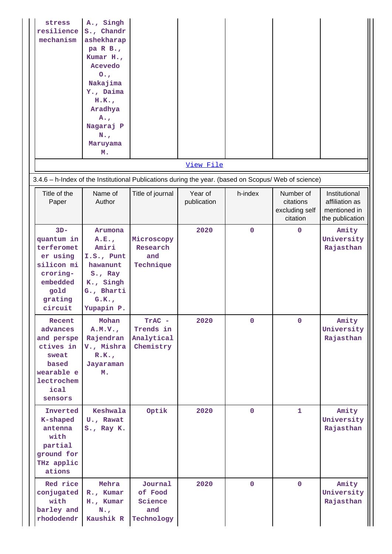| stress<br>resilience<br>mechanism                                                                                  | A., Singh<br>S., Chandr<br>ashekharap<br>pa R B.,<br>Kumar H.,<br>Acevedo<br>0.7<br>Nakajima<br>Y., Daima<br>H.K.<br>Aradhya<br>$A_{\bullet}$<br>Nagaraj P<br>$N_{\cdot}$<br>Maruyama<br>м. |                                                    |                        |             |                                                      |                                                                    |
|--------------------------------------------------------------------------------------------------------------------|---------------------------------------------------------------------------------------------------------------------------------------------------------------------------------------------|----------------------------------------------------|------------------------|-------------|------------------------------------------------------|--------------------------------------------------------------------|
|                                                                                                                    |                                                                                                                                                                                             |                                                    | View File              |             |                                                      |                                                                    |
| 3.4.6 - h-Index of the Institutional Publications during the year. (based on Scopus/ Web of science)               |                                                                                                                                                                                             |                                                    |                        |             |                                                      |                                                                    |
| Title of the<br>Paper                                                                                              | Name of<br>Author                                                                                                                                                                           | Title of journal                                   | Year of<br>publication | h-index     | Number of<br>citations<br>excluding self<br>citation | Institutional<br>affiliation as<br>mentioned in<br>the publication |
| $3D -$<br>quantum in<br>terferomet<br>er using<br>silicon mi<br>croring-<br>embedded<br>gold<br>grating<br>circuit | Arumona<br>A.E.,<br>Amiri<br>$I.S.,$ Punt<br>hawanunt<br>S., Ray<br>K., Singh<br>G., Bharti<br>G.K.<br>Yupapin P.                                                                           | Microscopy<br>Research<br>and<br>Technique         | 2020                   | $\mathbf 0$ | $\mathbf 0$                                          | Amity<br>University<br>Rajasthan                                   |
| Recent<br>advances<br>and perspe<br>ctives in<br>sweat<br>based<br>wearable e<br>lectrochem<br>ical<br>sensors     | Mohan<br>A.M.V.<br>Rajendran<br>V., Mishra<br>R.K.<br>Jayaraman<br>м.                                                                                                                       | TrAC -<br>Trends in<br>Analytical<br>Chemistry     | 2020                   | $\mathbf 0$ | $\mathbf{0}$                                         | Amity<br>University<br>Rajasthan                                   |
| Inverted<br>K-shaped<br>antenna<br>with<br>partial<br>ground for<br>THz applic<br>ations                           | Keshwala<br>U., Rawat<br>S., Ray K.                                                                                                                                                         | Optik                                              | 2020                   | $\mathbf 0$ | $\mathbf{1}$                                         | Amity<br>University<br>Rajasthan                                   |
| Red rice<br>conjugated<br>with<br>barley and<br>rhododendr                                                         | Mehra<br>R., Kumar<br>H., Kumar<br>$N_{\star}$<br>Kaushik R                                                                                                                                 | Journal<br>of Food<br>Science<br>and<br>Technology | 2020                   | $\mathbf 0$ | $\mathbf{0}$                                         | Amity<br>University<br>Rajasthan                                   |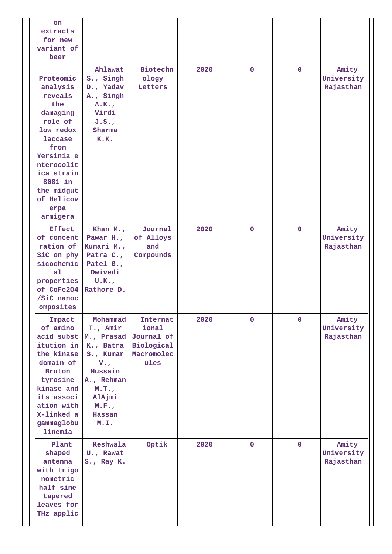| on<br>extracts<br>for new<br>variant of<br>beer                                                                                                                                                            |                                                                                                                                                                |                                                       |      |              |              |                                  |
|------------------------------------------------------------------------------------------------------------------------------------------------------------------------------------------------------------|----------------------------------------------------------------------------------------------------------------------------------------------------------------|-------------------------------------------------------|------|--------------|--------------|----------------------------------|
| Proteomic<br>analysis<br>reveals<br>the<br>damaging<br>role of<br>low redox<br><b>laccase</b><br>from<br>Yersinia e<br>nterocolit<br>ica strain<br>8081 in<br>the midgut<br>of Helicov<br>erpa<br>armigera | Ahlawat<br>S., Singh<br>D., Yadav<br>A., Singh<br>A.K.<br>Virdi<br>J.S.<br>Sharma<br>K.K.                                                                      | Biotechn<br>ology<br>Letters                          | 2020 | $\mathbf 0$  | $\mathbf 0$  | Amity<br>University<br>Rajasthan |
| <b>Effect</b><br>of concent<br>ration of<br>SiC on phy<br>sicochemic<br>a <sub>1</sub><br>properties<br>of CoFe204<br>/SiC nanoc<br>omposites                                                              | Khan $M_{\star}$ ,<br>Pawar H.,<br>Kumari M.,<br>Patra C.,<br>Patel G.,<br>Dwivedi<br>U.K.<br>Rathore D.                                                       | Journal<br>of Alloys<br>and<br>Compounds              | 2020 | $\mathbf 0$  | $\mathbf 0$  | Amity<br>University<br>Rajasthan |
| Impact<br>of amino<br>acid subst<br>itution in<br>the kinase<br>domain of<br><b>Bruton</b><br>tyrosine<br>kinase and<br>its associ<br>ation with<br>X-linked a<br>gammaglobu<br>linemia                    | Mohammad<br>T., Amir<br>M., Prasad Journal of<br>K., Batra<br>S., Kumar<br>$V_{\bullet}$<br>Hussain<br>A., Rehman<br>M.T.<br>AlAjmi<br>M.F.,<br>Hassan<br>M.I. | Internat<br>ional<br>Biological<br>Macromolec<br>ules | 2020 | $\mathbf{0}$ | $\mathbf 0$  | Amity<br>University<br>Rajasthan |
| Plant<br>shaped<br>antenna<br>with trigo<br>nometric<br>half sine<br>tapered<br>leaves for<br>THz applic                                                                                                   | Keshwala<br>U., Rawat<br>S., Ray K.                                                                                                                            | Optik                                                 | 2020 | $\mathbf 0$  | $\mathbf{0}$ | Amity<br>University<br>Rajasthan |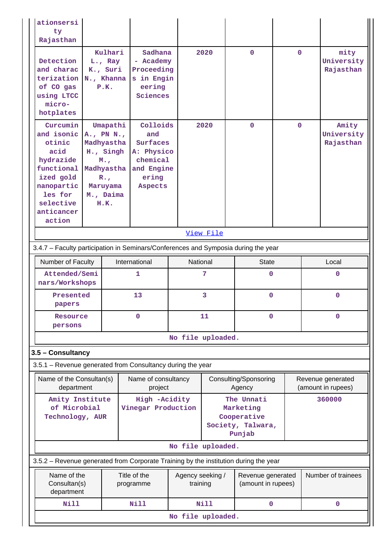| ationsersi<br>ty<br>Rajasthan                                                                                                                  |                    |                                                                                                                            |                                                                                         |                              |                                                                       |                                         |             |                                         |                                  |
|------------------------------------------------------------------------------------------------------------------------------------------------|--------------------|----------------------------------------------------------------------------------------------------------------------------|-----------------------------------------------------------------------------------------|------------------------------|-----------------------------------------------------------------------|-----------------------------------------|-------------|-----------------------------------------|----------------------------------|
| Detection<br>and charac<br>terization N., Khanna<br>of CO gas<br>using LTCC<br>micro-<br>hotplates                                             |                    | Kulhari<br>L., Ray<br>K., Suri<br>P.K.                                                                                     | Sadhana<br>- Academy<br>Proceeding<br>s in Engin<br>eering<br>Sciences                  |                              | 2020                                                                  | $\Omega$                                | $\Omega$    |                                         | mity<br>University<br>Rajasthan  |
| Curcumin<br>and isonic<br>otinic<br>acid<br>hydrazide<br>functional<br>ized gold<br>nanopartic<br>les for<br>selective<br>anticancer<br>action |                    | Umapathi<br>A., PN N.,<br>Madhyastha<br>H., Singh<br>M.,<br>Madhyastha<br>$R_{\bullet}$ ,<br>Maruyama<br>M., Daima<br>H.K. | Colloids<br>and<br>Surfaces<br>A: Physico<br>chemical<br>and Engine<br>ering<br>Aspects |                              | 2020                                                                  | $\mathbf{O}$                            | $\mathbf 0$ |                                         | Amity<br>University<br>Rajasthan |
| View File                                                                                                                                      |                    |                                                                                                                            |                                                                                         |                              |                                                                       |                                         |             |                                         |                                  |
| 3.4.7 - Faculty participation in Seminars/Conferences and Symposia during the year                                                             |                    |                                                                                                                            |                                                                                         |                              |                                                                       |                                         |             |                                         |                                  |
| Number of Faculty                                                                                                                              |                    |                                                                                                                            | International                                                                           |                              | National                                                              | <b>State</b>                            |             |                                         | Local                            |
| nars/Workshops                                                                                                                                 | Attended/Semi<br>1 |                                                                                                                            |                                                                                         |                              | 7                                                                     | 0                                       |             |                                         | 0                                |
| Presented<br>papers                                                                                                                            |                    |                                                                                                                            | 13                                                                                      | 3                            |                                                                       | $\mathbf 0$                             |             |                                         | $\mathbf{0}$                     |
| Resource<br>persons                                                                                                                            |                    |                                                                                                                            | 0                                                                                       |                              |                                                                       | 11<br>0                                 |             | 0                                       |                                  |
|                                                                                                                                                |                    |                                                                                                                            |                                                                                         | No file uploaded.            |                                                                       |                                         |             |                                         |                                  |
| 3.5 - Consultancy                                                                                                                              |                    |                                                                                                                            |                                                                                         |                              |                                                                       |                                         |             |                                         |                                  |
| 3.5.1 - Revenue generated from Consultancy during the year                                                                                     |                    |                                                                                                                            |                                                                                         |                              |                                                                       |                                         |             |                                         |                                  |
| Name of the Consultan(s)<br>department                                                                                                         |                    |                                                                                                                            | Name of consultancy<br>project                                                          |                              |                                                                       | Consulting/Sponsoring<br>Agency         |             | Revenue generated<br>(amount in rupees) |                                  |
| Amity Institute<br>of Microbial<br>Technology, AUR                                                                                             |                    | High -Acidity<br>Vinegar Production                                                                                        |                                                                                         |                              | The Unnati<br>Marketing<br>Cooperative<br>Society, Talwara,<br>Punjab |                                         | 360000      |                                         |                                  |
|                                                                                                                                                |                    |                                                                                                                            |                                                                                         | No file uploaded.            |                                                                       |                                         |             |                                         |                                  |
| 3.5.2 – Revenue generated from Corporate Training by the institution during the year                                                           |                    |                                                                                                                            |                                                                                         |                              |                                                                       |                                         |             |                                         |                                  |
| Name of the<br>Consultan(s)<br>department                                                                                                      |                    |                                                                                                                            | Title of the<br>programme                                                               | Agency seeking /<br>training |                                                                       | Revenue generated<br>(amount in rupees) |             |                                         | Number of trainees               |
| <b>Nill</b>                                                                                                                                    |                    |                                                                                                                            | <b>Nill</b>                                                                             |                              | <b>Nill</b>                                                           | $\mathbf 0$                             |             |                                         | 0                                |
|                                                                                                                                                |                    |                                                                                                                            |                                                                                         | No file uploaded.            |                                                                       |                                         |             |                                         |                                  |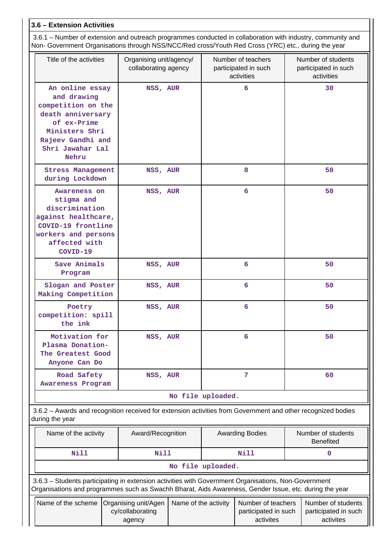## **3.6 – Extension Activities**

 3.6.1 – Number of extension and outreach programmes conducted in collaboration with industry, community and Non- Government Organisations through NSS/NCC/Red cross/Youth Red Cross (YRC) etc., during the year

| Title of the activities                                                                                                                                                                                        | Organising unit/agency/<br>collaborating agency | Number of teachers<br>participated in such<br>activities                                                                             | Number of students<br>participated in such<br>activities |
|----------------------------------------------------------------------------------------------------------------------------------------------------------------------------------------------------------------|-------------------------------------------------|--------------------------------------------------------------------------------------------------------------------------------------|----------------------------------------------------------|
| An online essay<br>and drawing<br>competition on the<br>death anniversary<br>of ex-Prime<br>Ministers Shri<br>Rajeev Gandhi and<br>Shri Jawahar Lal<br>Nehru                                                   | NSS, AUR                                        | 6                                                                                                                                    | 30                                                       |
| <b>Stress Management</b><br>during Lockdown                                                                                                                                                                    | NSS, AUR                                        | 8                                                                                                                                    | 50                                                       |
| Awareness on<br>stigma and<br>discrimination<br>against healthcare,<br>COVID-19 frontline<br>workers and persons<br>affected with<br>COVID-19                                                                  | NSS, AUR                                        | 6                                                                                                                                    | 50                                                       |
| Save Animals<br>Program                                                                                                                                                                                        | NSS, AUR                                        | 6                                                                                                                                    | 50                                                       |
| Slogan and Poster<br>Making Competition                                                                                                                                                                        | NSS, AUR                                        | 6                                                                                                                                    | 50                                                       |
| Poetry<br>competition: spill<br>the ink                                                                                                                                                                        | NSS, AUR                                        | 6                                                                                                                                    | 50                                                       |
| Motivation for<br>Plasma Donation-<br>The Greatest Good<br>Anyone Can Do                                                                                                                                       | NSS, AUR                                        | 6                                                                                                                                    | 50                                                       |
| Road Safety<br>Awareness Program                                                                                                                                                                               | NSS, AUR                                        | 7                                                                                                                                    | 60                                                       |
|                                                                                                                                                                                                                |                                                 | No file uploaded.                                                                                                                    |                                                          |
| 3.6.2 - Awards and recognition received for extension activities from Government and other recognized bodies<br>during the year                                                                                |                                                 |                                                                                                                                      |                                                          |
| Name of the activity                                                                                                                                                                                           | Award/Recognition                               | <b>Awarding Bodies</b>                                                                                                               | Number of students<br><b>Benefited</b>                   |
| Nill                                                                                                                                                                                                           | <b>Nill</b>                                     | <b>Nill</b>                                                                                                                          | 0                                                        |
|                                                                                                                                                                                                                |                                                 | No file uploaded.                                                                                                                    |                                                          |
| 3.6.3 - Students participating in extension activities with Government Organisations, Non-Government<br>Organisations and programmes such as Swachh Bharat, Aids Awareness, Gender Issue, etc. during the year |                                                 |                                                                                                                                      |                                                          |
|                                                                                                                                                                                                                |                                                 | Name of the scheme $\Omega$ canising unit/Agen $\Omega$ Name of the activity $\Omega$ Number of teachers $\Omega$ Number of students |                                                          |

| Name of the scheme   Organising unit/Agen   Name of the activity |                  | Number of teachers   | Number of students   |
|------------------------------------------------------------------|------------------|----------------------|----------------------|
|                                                                  | cy/collaborating | participated in such | participated in such |
|                                                                  | agency           | activites            | activites            |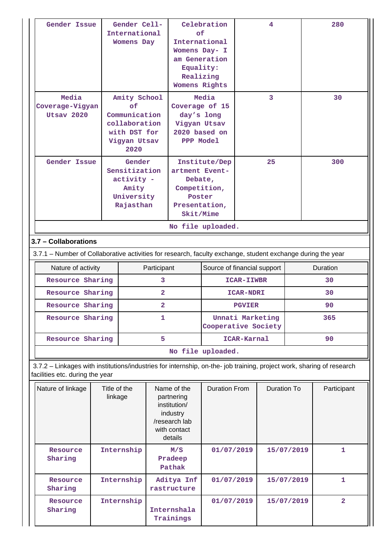| Gender Issue<br>Media<br>Coverage-Vigyan<br>Utsay 2020                                                                                                   |                                                                                                                                     | Gender Cell-<br>International<br><b>Womens Day</b><br>Amity School<br>of<br>Communication<br>collaboration<br>with DST for<br>Vigyan Utsav |                         | Celebration                                                                                       | of<br>International<br>Womens Day- I<br>am Generation<br>Equality:<br>Realizing<br>Womens Rights<br>Media<br>Coverage of 15<br>day's long<br>Vigyan Utsav<br>2020 based on<br>PPP Model |                                            | 4<br>3 |            | 280<br>30      |  |
|----------------------------------------------------------------------------------------------------------------------------------------------------------|-------------------------------------------------------------------------------------------------------------------------------------|--------------------------------------------------------------------------------------------------------------------------------------------|-------------------------|---------------------------------------------------------------------------------------------------|-----------------------------------------------------------------------------------------------------------------------------------------------------------------------------------------|--------------------------------------------|--------|------------|----------------|--|
| Gender Issue                                                                                                                                             |                                                                                                                                     | 2020<br>Gender<br>Sensitization<br>activity -<br>Amity<br>University<br>Rajasthan                                                          |                         | artment Event-<br>Debate,<br>Competition,<br>Poster<br>Presentation,<br>Skit/Mime                 | Institute/Dep                                                                                                                                                                           |                                            | 25     |            | 300            |  |
|                                                                                                                                                          |                                                                                                                                     |                                                                                                                                            |                         |                                                                                                   | No file uploaded.                                                                                                                                                                       |                                            |        |            |                |  |
|                                                                                                                                                          | 3.7 - Collaborations<br>3.7.1 - Number of Collaborative activities for research, faculty exchange, student exchange during the year |                                                                                                                                            |                         |                                                                                                   |                                                                                                                                                                                         |                                            |        |            |                |  |
| Nature of activity                                                                                                                                       |                                                                                                                                     |                                                                                                                                            | Participant             |                                                                                                   | Source of financial support                                                                                                                                                             |                                            |        |            | Duration       |  |
| Resource Sharing                                                                                                                                         |                                                                                                                                     |                                                                                                                                            | 3                       |                                                                                                   |                                                                                                                                                                                         | ICAR-IIWBR                                 |        |            | 30             |  |
| Resource Sharing                                                                                                                                         |                                                                                                                                     |                                                                                                                                            | $\overline{\mathbf{2}}$ |                                                                                                   |                                                                                                                                                                                         | <b>ICAR-NDRI</b>                           |        |            | 30             |  |
| Resource Sharing                                                                                                                                         |                                                                                                                                     |                                                                                                                                            | $\overline{\mathbf{2}}$ |                                                                                                   |                                                                                                                                                                                         | <b>PGVIER</b>                              |        |            | 90             |  |
| Resource Sharing                                                                                                                                         |                                                                                                                                     |                                                                                                                                            | 1                       |                                                                                                   |                                                                                                                                                                                         | Unnati Marketing<br>Cooperative Society    |        |            | 365            |  |
| Resource Sharing                                                                                                                                         |                                                                                                                                     |                                                                                                                                            | 5                       | ICAR-Karnal                                                                                       |                                                                                                                                                                                         |                                            |        | 90         |                |  |
|                                                                                                                                                          |                                                                                                                                     |                                                                                                                                            |                         |                                                                                                   | No file uploaded.                                                                                                                                                                       |                                            |        |            |                |  |
| 3.7.2 - Linkages with institutions/industries for internship, on-the- job training, project work, sharing of research<br>facilities etc. during the year |                                                                                                                                     |                                                                                                                                            |                         |                                                                                                   |                                                                                                                                                                                         |                                            |        |            |                |  |
| Nature of linkage                                                                                                                                        | Title of the<br>linkage                                                                                                             |                                                                                                                                            |                         | Name of the<br>partnering<br>institution/<br>industry<br>/research lab<br>with contact<br>details |                                                                                                                                                                                         | <b>Duration From</b><br><b>Duration To</b> |        |            | Participant    |  |
| Resource<br>Sharing                                                                                                                                      |                                                                                                                                     | Internship                                                                                                                                 |                         | M/S<br>Pradeep<br>Pathak                                                                          | 01/07/2019                                                                                                                                                                              |                                            |        | 15/07/2019 | 1              |  |
| Resource<br>Sharing                                                                                                                                      |                                                                                                                                     | Internship                                                                                                                                 |                         | Aditya Inf<br>rastructure                                                                         | 01/07/2019                                                                                                                                                                              |                                            |        | 15/07/2019 | 1              |  |
| Resource<br>Sharing                                                                                                                                      |                                                                                                                                     | Internship                                                                                                                                 |                         | Internshala<br>Trainings                                                                          | 01/07/2019                                                                                                                                                                              |                                            |        | 15/07/2019 | $\overline{2}$ |  |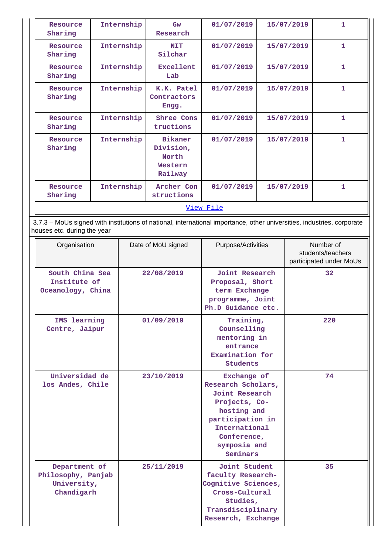| Resource<br>Sharing                                                                                                                                   |                                                      | Internship | 6w<br>Research                                                                                                                                          | 01/07/2019                                                                                                                                     |  | 15/07/2019 | $\mathbf{1}$                                              |  |  |
|-------------------------------------------------------------------------------------------------------------------------------------------------------|------------------------------------------------------|------------|---------------------------------------------------------------------------------------------------------------------------------------------------------|------------------------------------------------------------------------------------------------------------------------------------------------|--|------------|-----------------------------------------------------------|--|--|
| Resource<br>Sharing                                                                                                                                   |                                                      | Internship | <b>NIT</b><br>Silchar                                                                                                                                   | 01/07/2019                                                                                                                                     |  | 15/07/2019 | 1.                                                        |  |  |
| Resource<br>Sharing                                                                                                                                   |                                                      | Internship | Excellent<br>Lab                                                                                                                                        | 01/07/2019                                                                                                                                     |  | 15/07/2019 | $\mathbf{1}$                                              |  |  |
| Resource<br>Sharing                                                                                                                                   |                                                      | Internship | K.K. Patel<br>Contractors<br>Engg.                                                                                                                      | 01/07/2019                                                                                                                                     |  | 15/07/2019 | $\mathbf{1}$                                              |  |  |
| Resource<br>Sharing                                                                                                                                   | Internship                                           |            | Shree Cons<br>tructions                                                                                                                                 | 01/07/2019                                                                                                                                     |  | 15/07/2019 | $\mathbf{1}$                                              |  |  |
| Resource<br>Sharing                                                                                                                                   | Internship                                           |            | <b>Bikaner</b><br>Division,<br>North<br>Western<br>Railway                                                                                              | 01/07/2019                                                                                                                                     |  | 15/07/2019 | $\mathbf{1}$                                              |  |  |
| Resource<br>Sharing                                                                                                                                   |                                                      | Internship | Archer Con<br>structions                                                                                                                                | 01/07/2019                                                                                                                                     |  | 15/07/2019 | $\mathbf{1}$                                              |  |  |
|                                                                                                                                                       |                                                      |            |                                                                                                                                                         | View File                                                                                                                                      |  |            |                                                           |  |  |
|                                                                                                                                                       |                                                      |            |                                                                                                                                                         |                                                                                                                                                |  |            |                                                           |  |  |
| 3.7.3 - MoUs signed with institutions of national, international importance, other universities, industries, corporate<br>houses etc. during the year |                                                      |            |                                                                                                                                                         |                                                                                                                                                |  |            |                                                           |  |  |
| Organisation                                                                                                                                          |                                                      |            | Date of MoU signed                                                                                                                                      | Purpose/Activities                                                                                                                             |  |            | Number of<br>students/teachers<br>participated under MoUs |  |  |
|                                                                                                                                                       | South China Sea<br>Institute of<br>Oceanology, China |            | 22/08/2019                                                                                                                                              | Joint Research<br>Proposal, Short<br>term Exchange<br>programme, Joint<br>Ph.D Guidance etc.                                                   |  |            | 32                                                        |  |  |
| IMS learning<br>Centre, Jaipur                                                                                                                        |                                                      |            | 01/09/2019                                                                                                                                              | Training,<br>Counselling<br>mentoring in<br>entrance<br>Examination for<br><b>Students</b>                                                     |  |            | 220                                                       |  |  |
| Universidad de<br>los Andes, Chile                                                                                                                    |                                                      | 23/10/2019 | Exchange of<br>Research Scholars,<br>Joint Research<br>Projects, Co-<br>hosting and<br>participation in<br>International<br>Conference,<br>symposia and |                                                                                                                                                |  | 74         |                                                           |  |  |
| Department of<br>Philosophy, Panjab<br>University,<br>Chandigarh                                                                                      |                                                      |            | 25/11/2019                                                                                                                                              | Seminars<br>Joint Student<br>faculty Research-<br>Cognitive Sciences,<br>Cross-Cultural<br>Studies,<br>Transdisciplinary<br>Research, Exchange |  |            | 35                                                        |  |  |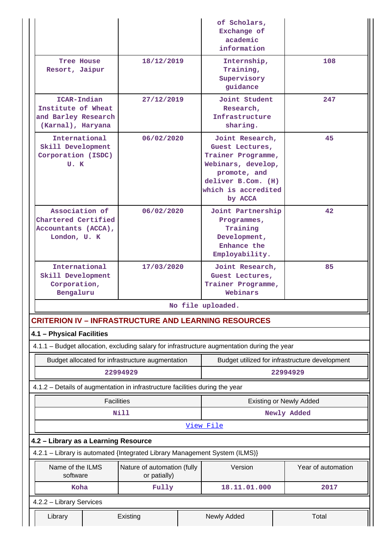|                                                                                             |                                             |  | of Scholars,<br>Exchange of<br>academic<br>information                                                                                                 |      |                                                            |
|---------------------------------------------------------------------------------------------|---------------------------------------------|--|--------------------------------------------------------------------------------------------------------------------------------------------------------|------|------------------------------------------------------------|
| Tree House<br>Resort, Jaipur                                                                | 18/12/2019                                  |  | Internship,<br>Training,<br>Supervisory<br>guidance                                                                                                    | 108  |                                                            |
| ICAR-Indian<br>Institute of Wheat<br>and Barley Research<br>(Karnal), Haryana               | 27/12/2019                                  |  | Joint Student<br>Research,<br>Infrastructure<br>sharing.                                                                                               |      | 247                                                        |
| International<br>Skill Development<br>Corporation (ISDC)<br>U.K                             | 06/02/2020                                  |  | Joint Research,<br>Guest Lectures,<br>Trainer Programme,<br>Webinars, develop,<br>promote, and<br>deliver B.Com. (H)<br>which is accredited<br>by ACCA |      | 45                                                         |
| Association of<br>06/02/2020<br>Chartered Certified<br>Accountants (ACCA),<br>London, U. K  |                                             |  | Joint Partnership<br>Programmes,<br>Training<br>Development,<br>Enhance the<br>Employability.                                                          |      | 42                                                         |
| International<br>Skill Development<br>Corporation,<br>Bengaluru                             | 17/03/2020                                  |  | Joint Research,<br>Guest Lectures,<br>Trainer Programme,<br>Webinars                                                                                   |      | 85                                                         |
|                                                                                             |                                             |  | No file uploaded.                                                                                                                                      |      |                                                            |
| <b>CRITERION IV - INFRASTRUCTURE AND LEARNING RESOURCES</b><br>4.1 - Physical Facilities    |                                             |  |                                                                                                                                                        |      |                                                            |
| 4.1.1 - Budget allocation, excluding salary for infrastructure augmentation during the year |                                             |  |                                                                                                                                                        |      |                                                            |
| Budget allocated for infrastructure augmentation                                            | 22994929                                    |  |                                                                                                                                                        |      | Budget utilized for infrastructure development<br>22994929 |
| 4.1.2 - Details of augmentation in infrastructure facilities during the year                |                                             |  |                                                                                                                                                        |      |                                                            |
| <b>Facilities</b>                                                                           |                                             |  |                                                                                                                                                        |      | <b>Existing or Newly Added</b>                             |
|                                                                                             | Nill                                        |  | View File                                                                                                                                              |      | Newly Added                                                |
| 4.2 - Library as a Learning Resource                                                        |                                             |  |                                                                                                                                                        |      |                                                            |
| 4.2.1 - Library is automated {Integrated Library Management System (ILMS)}                  |                                             |  |                                                                                                                                                        |      |                                                            |
| Name of the ILMS<br>software                                                                | Nature of automation (fully<br>or patially) |  | Version                                                                                                                                                |      | Year of automation                                         |
| Koha                                                                                        | Fully                                       |  | 18.11.01.000                                                                                                                                           | 2017 |                                                            |
| 4.2.2 - Library Services                                                                    |                                             |  |                                                                                                                                                        |      |                                                            |
| Library                                                                                     | Existing                                    |  | Newly Added                                                                                                                                            |      | Total                                                      |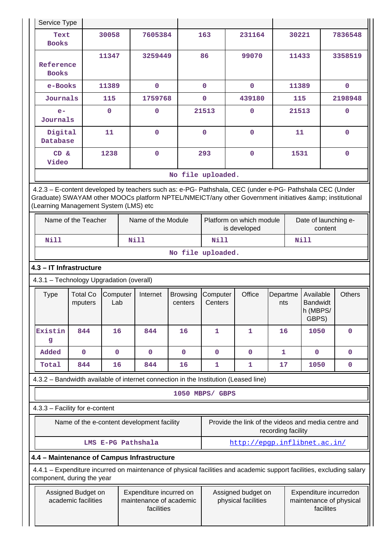|                                                                                                                         | Service Type                                                                                                                                                                                                                                            |                            |                 |  |                    |                            |                                          |                                                                                                                      |                 |                      |                                                   |         |               |
|-------------------------------------------------------------------------------------------------------------------------|---------------------------------------------------------------------------------------------------------------------------------------------------------------------------------------------------------------------------------------------------------|----------------------------|-----------------|--|--------------------|----------------------------|------------------------------------------|----------------------------------------------------------------------------------------------------------------------|-----------------|----------------------|---------------------------------------------------|---------|---------------|
|                                                                                                                         | Text<br><b>Books</b>                                                                                                                                                                                                                                    |                            | 30058           |  | 7605384            |                            | 163                                      | 231164                                                                                                               |                 | 30221                |                                                   |         | 7836548       |
|                                                                                                                         | Reference<br><b>Books</b>                                                                                                                                                                                                                               |                            | 11347           |  | 3259449            |                            | 86                                       | 99070                                                                                                                |                 | 11433                |                                                   |         | 3358519       |
|                                                                                                                         | e-Books                                                                                                                                                                                                                                                 |                            | 11389           |  | $\mathbf{O}$       |                            | $\mathbf{0}$                             | $\mathbf 0$                                                                                                          |                 | 11389                |                                                   |         | $\mathbf{0}$  |
|                                                                                                                         | Journals                                                                                                                                                                                                                                                |                            | 115             |  | 1759768            |                            | $\mathbf{O}$                             | 439180                                                                                                               |                 | 115                  |                                                   |         | 2198948       |
|                                                                                                                         | $e-$<br>Journals                                                                                                                                                                                                                                        |                            | $\Omega$        |  | 0                  |                            | 21513                                    | $\mathbf 0$                                                                                                          |                 | 21513                |                                                   |         | 0             |
|                                                                                                                         | Digital<br>Database                                                                                                                                                                                                                                     |                            | 11              |  | $\mathbf 0$        |                            | $\mathbf 0$                              | $\mathbf 0$                                                                                                          |                 | 11                   |                                                   |         | $\mathbf 0$   |
|                                                                                                                         | CD &<br>Video                                                                                                                                                                                                                                           |                            | 1238            |  | $\mathbf 0$        |                            | 293                                      | $\mathbf 0$                                                                                                          |                 | 1531                 |                                                   |         | $\mathbf{O}$  |
|                                                                                                                         |                                                                                                                                                                                                                                                         |                            |                 |  |                    | No file uploaded.          |                                          |                                                                                                                      |                 |                      |                                                   |         |               |
|                                                                                                                         | 4.2.3 - E-content developed by teachers such as: e-PG- Pathshala, CEC (under e-PG- Pathshala CEC (Under<br>Graduate) SWAYAM other MOOCs platform NPTEL/NMEICT/any other Government initiatives & institutional<br>(Learning Management System (LMS) etc |                            |                 |  |                    |                            |                                          |                                                                                                                      |                 |                      |                                                   |         |               |
|                                                                                                                         |                                                                                                                                                                                                                                                         | Name of the Teacher        |                 |  | Name of the Module |                            | Platform on which module<br>is developed |                                                                                                                      |                 | Date of launching e- |                                                   | content |               |
|                                                                                                                         | <b>Nill</b>                                                                                                                                                                                                                                             |                            |                 |  | Nill               |                            | <b>Nill</b><br><b>Nill</b>               |                                                                                                                      |                 |                      |                                                   |         |               |
|                                                                                                                         |                                                                                                                                                                                                                                                         |                            |                 |  |                    | No file uploaded.          |                                          |                                                                                                                      |                 |                      |                                                   |         |               |
|                                                                                                                         | 4.3 - IT Infrastructure                                                                                                                                                                                                                                 |                            |                 |  |                    |                            |                                          |                                                                                                                      |                 |                      |                                                   |         |               |
|                                                                                                                         | 4.3.1 - Technology Upgradation (overall)                                                                                                                                                                                                                |                            |                 |  |                    |                            |                                          |                                                                                                                      |                 |                      |                                                   |         |               |
|                                                                                                                         | <b>Type</b>                                                                                                                                                                                                                                             | <b>Total Co</b><br>mputers | Computer<br>Lab |  | Internet           | <b>Browsing</b><br>centers | Computer<br>Centers                      | Office                                                                                                               | Departme<br>nts |                      | Available<br><b>Bandwidt</b><br>h (MBPS/<br>GBPS) |         | <b>Others</b> |
|                                                                                                                         | Existin<br>g                                                                                                                                                                                                                                            | 844                        | 16              |  | 844                | 16                         | 1                                        | 1                                                                                                                    | 16              |                      | 1050                                              |         | 0             |
|                                                                                                                         | Added                                                                                                                                                                                                                                                   | $\mathbf 0$                | $\mathbf 0$     |  | $\mathbf 0$        | $\mathbf{0}$               | $\mathbf 0$                              | 0                                                                                                                    | $\mathbf{1}$    |                      | $\mathbf{0}$                                      |         | $\mathbf 0$   |
|                                                                                                                         | Total                                                                                                                                                                                                                                                   | 844                        | 16              |  | 844                | 16                         | 1                                        | 1                                                                                                                    | 17              |                      | 1050                                              |         | $\mathbf 0$   |
|                                                                                                                         |                                                                                                                                                                                                                                                         |                            |                 |  |                    |                            |                                          | 4.3.2 - Bandwidth available of internet connection in the Institution (Leased line)                                  |                 |                      |                                                   |         |               |
|                                                                                                                         |                                                                                                                                                                                                                                                         |                            |                 |  |                    |                            | 1050 MBPS/ GBPS                          |                                                                                                                      |                 |                      |                                                   |         |               |
|                                                                                                                         | 4.3.3 - Facility for e-content                                                                                                                                                                                                                          |                            |                 |  |                    |                            |                                          |                                                                                                                      |                 |                      |                                                   |         |               |
| Provide the link of the videos and media centre and<br>Name of the e-content development facility<br>recording facility |                                                                                                                                                                                                                                                         |                            |                 |  |                    |                            |                                          |                                                                                                                      |                 |                      |                                                   |         |               |
|                                                                                                                         |                                                                                                                                                                                                                                                         |                            |                 |  |                    |                            |                                          |                                                                                                                      |                 |                      |                                                   |         |               |
|                                                                                                                         |                                                                                                                                                                                                                                                         |                            |                 |  | LMS E-PG Pathshala |                            |                                          | http://epqp.inflibnet.ac.in/                                                                                         |                 |                      |                                                   |         |               |
|                                                                                                                         | 4.4 - Maintenance of Campus Infrastructure                                                                                                                                                                                                              |                            |                 |  |                    |                            |                                          |                                                                                                                      |                 |                      |                                                   |         |               |
|                                                                                                                         | component, during the year                                                                                                                                                                                                                              |                            |                 |  |                    |                            |                                          | 4.4.1 – Expenditure incurred on maintenance of physical facilities and academic support facilities, excluding salary |                 |                      |                                                   |         |               |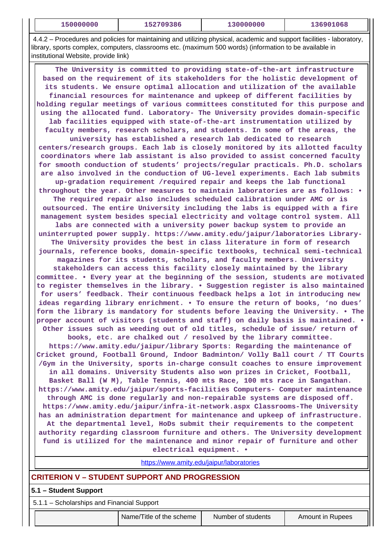| <b>T20000000</b> | 0.0002<br>ססכי<br>ᅩって | $\pm 30000000$ | 068 |
|------------------|-----------------------|----------------|-----|
|                  |                       |                |     |

 4.4.2 – Procedures and policies for maintaining and utilizing physical, academic and support facilities - laboratory, library, sports complex, computers, classrooms etc. (maximum 500 words) (information to be available in institutional Website, provide link)

 **The University is committed to providing state-of-the-art infrastructure based on the requirement of its stakeholders for the holistic development of its students. We ensure optimal allocation and utilization of the available financial resources for maintenance and upkeep of different facilities by holding regular meetings of various committees constituted for this purpose and using the allocated fund. Laboratory- The University provides domain-specific lab facilities equipped with state-of-the-art instrumentation utilized by faculty members, research scholars, and students. In some of the areas, the university has established a research lab dedicated to research centers/research groups. Each lab is closely monitored by its allotted faculty coordinators where lab assistant is also provided to assist concerned faculty for smooth conduction of students' projects/regular practicals. Ph.D. scholars are also involved in the conduction of UG-level experiments. Each lab submits up-gradation requirement /required repair and keeps the lab functional throughout the year. Other measures to maintain laboratories are as follows: • The required repair also includes scheduled calibration under AMC or is outsourced. The entire University including the labs is equipped with a fire management system besides special electricity and voltage control system. All labs are connected with a university power backup system to provide an uninterrupted power supply. https://www.amity.edu/jaipur/laboratories Library-The University provides the best in class literature in form of research journals, reference books, domain-specific textbooks, technical semi-technical magazines for its students, scholars, and faculty members. University stakeholders can access this facility closely maintained by the library committee. • Every year at the beginning of the session, students are motivated to register themselves in the library. • Suggestion register is also maintained for users' feedback. Their continuous feedback helps a lot in introducing new ideas regarding library enrichment. • To ensure the return of books, 'no dues' form the library is mandatory for students before leaving the University. • The proper account of visitors (students and staff) on daily basis is maintained. • Other issues such as weeding out of old titles, schedule of issue/ return of books, etc. are chalked out / resolved by the library committee. https://www.amity.edu/jaipur/library Sports: Regarding the maintenance of Cricket ground, Football Ground, Indoor Badminton/ Volly Ball court / TT Courts /Gym in the University, sports in-charge consult coaches to ensure improvement in all domains. University Students also won prizes in Cricket, Football, Basket Ball (W M), Table Tennis, 400 mts Race, 100 mts race in Sangathan. https://www.amity.edu/jaipur/sports-facilities Computers- Computer maintenance through AMC is done regularly and non-repairable systems are disposed off. https://www.amity.edu/jaipur/infra-it-network.aspx Classrooms-The University has an administration department for maintenance and upkeep of infrastructure. At the departmental level, HoDs submit their requirements to the competent authority regarding classroom furniture and others. The University development fund is utilized for the maintenance and minor repair of furniture and other electrical equipment. •**

<https://www.amity.edu/jaipur/laboratories>

### **CRITERION V – STUDENT SUPPORT AND PROGRESSION**

**5.1 – Student Support**

5.1.1 – Scholarships and Financial Support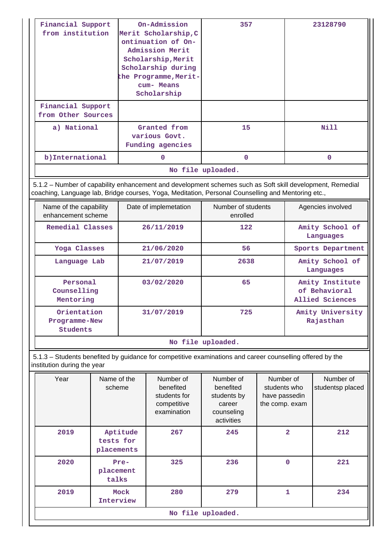| Financial Support<br>from institution                                                                                                    |                                                                                                                                                                                                                 | On-Admission<br>Merit Scholarship, C<br>ontinuation of On-<br>Admission Merit<br>Scholarship, Merit<br>Scholarship during<br>the Programme, Merit-<br>cum- Means<br>Scholarship | 357                                                                         |                                                              | 23128790                      |                                                     |  |  |  |
|------------------------------------------------------------------------------------------------------------------------------------------|-----------------------------------------------------------------------------------------------------------------------------------------------------------------------------------------------------------------|---------------------------------------------------------------------------------------------------------------------------------------------------------------------------------|-----------------------------------------------------------------------------|--------------------------------------------------------------|-------------------------------|-----------------------------------------------------|--|--|--|
| Financial Support<br>from Other Sources                                                                                                  |                                                                                                                                                                                                                 |                                                                                                                                                                                 |                                                                             |                                                              |                               |                                                     |  |  |  |
| a) National                                                                                                                              |                                                                                                                                                                                                                 | Granted from<br>various Govt.<br>Funding agencies                                                                                                                               | 15                                                                          |                                                              |                               | <b>Nill</b>                                         |  |  |  |
| b) International                                                                                                                         |                                                                                                                                                                                                                 | $\Omega$                                                                                                                                                                        | $\Omega$                                                                    |                                                              |                               | $\mathbf{0}$                                        |  |  |  |
|                                                                                                                                          |                                                                                                                                                                                                                 |                                                                                                                                                                                 | No file uploaded.                                                           |                                                              |                               |                                                     |  |  |  |
|                                                                                                                                          | 5.1.2 – Number of capability enhancement and development schemes such as Soft skill development, Remedial<br>coaching, Language lab, Bridge courses, Yoga, Meditation, Personal Counselling and Mentoring etc., |                                                                                                                                                                                 |                                                                             |                                                              |                               |                                                     |  |  |  |
| Name of the capability<br>enhancement scheme                                                                                             |                                                                                                                                                                                                                 | Date of implemetation                                                                                                                                                           | Number of students<br>enrolled                                              |                                                              |                               | Agencies involved                                   |  |  |  |
| Remedial Classes                                                                                                                         |                                                                                                                                                                                                                 | 26/11/2019                                                                                                                                                                      | 122                                                                         |                                                              | Amity School of<br>Languages  |                                                     |  |  |  |
| Yoga Classes                                                                                                                             |                                                                                                                                                                                                                 | 21/06/2020                                                                                                                                                                      | 56                                                                          |                                                              |                               | Sports Department                                   |  |  |  |
| Language Lab                                                                                                                             |                                                                                                                                                                                                                 | 21/07/2019                                                                                                                                                                      | 2638                                                                        |                                                              |                               | Amity School of<br>Languages                        |  |  |  |
| Personal<br>Counselling<br>Mentoring                                                                                                     |                                                                                                                                                                                                                 | 03/02/2020                                                                                                                                                                      | 65                                                                          |                                                              |                               | Amity Institute<br>of Behavioral<br>Allied Sciences |  |  |  |
| Orientation<br>Programme-New<br>Students                                                                                                 |                                                                                                                                                                                                                 | 31/07/2019                                                                                                                                                                      | 725                                                                         |                                                              | Amity University<br>Rajasthan |                                                     |  |  |  |
|                                                                                                                                          |                                                                                                                                                                                                                 |                                                                                                                                                                                 | No file uploaded.                                                           |                                                              |                               |                                                     |  |  |  |
| 5.1.3 – Students benefited by guidance for competitive examinations and career counselling offered by the<br>institution during the year |                                                                                                                                                                                                                 |                                                                                                                                                                                 |                                                                             |                                                              |                               |                                                     |  |  |  |
| Year                                                                                                                                     | Name of the<br>scheme                                                                                                                                                                                           | Number of<br>benefited<br>students for<br>competitive<br>examination                                                                                                            | Number of<br>benefited<br>students by<br>career<br>counseling<br>activities | Number of<br>students who<br>have passedin<br>the comp. exam |                               | Number of<br>studentsp placed                       |  |  |  |
| 2019                                                                                                                                     | Aptitude<br>tests for<br>placements                                                                                                                                                                             | 267                                                                                                                                                                             | 245                                                                         |                                                              | $\overline{\mathbf{2}}$       | 212                                                 |  |  |  |
| 2020                                                                                                                                     | Pre-<br>placement<br>talks                                                                                                                                                                                      | 325                                                                                                                                                                             | 236                                                                         |                                                              | $\mathbf 0$                   | 221                                                 |  |  |  |
| 2019                                                                                                                                     | Mock<br>Interview                                                                                                                                                                                               | 280                                                                                                                                                                             | 279                                                                         |                                                              | 1                             | 234                                                 |  |  |  |
|                                                                                                                                          |                                                                                                                                                                                                                 |                                                                                                                                                                                 | No file uploaded.                                                           |                                                              |                               |                                                     |  |  |  |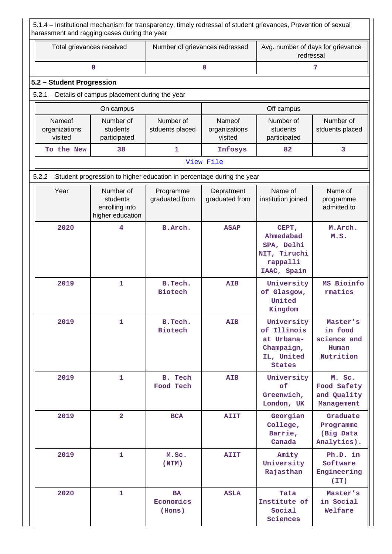5.1.4 – Institutional mechanism for transparency, timely redressal of student grievances, Prevention of sexual harassment and ragging cases during the year

| Total grievances received                                                     |                                                             | Number of grievances redressed   |                                    | Avg. number of days for grievance<br>redressal                                       |                                                          |  |  |  |  |  |
|-------------------------------------------------------------------------------|-------------------------------------------------------------|----------------------------------|------------------------------------|--------------------------------------------------------------------------------------|----------------------------------------------------------|--|--|--|--|--|
|                                                                               | 0                                                           |                                  | 0                                  |                                                                                      | 7                                                        |  |  |  |  |  |
| 5.2 - Student Progression                                                     |                                                             |                                  |                                    |                                                                                      |                                                          |  |  |  |  |  |
|                                                                               | 5.2.1 - Details of campus placement during the year         |                                  |                                    |                                                                                      |                                                          |  |  |  |  |  |
|                                                                               | On campus                                                   |                                  |                                    | Off campus                                                                           |                                                          |  |  |  |  |  |
| Nameof<br>organizations<br>visited                                            | Number of<br>students<br>participated                       | Number of<br>stduents placed     | Nameof<br>organizations<br>visited | Number of<br>students<br>participated                                                | Number of<br>stduents placed                             |  |  |  |  |  |
| To the New                                                                    | 38                                                          | $\mathbf{1}$                     | Infosys                            | 82                                                                                   | 3                                                        |  |  |  |  |  |
|                                                                               |                                                             |                                  | View File                          |                                                                                      |                                                          |  |  |  |  |  |
| 5.2.2 - Student progression to higher education in percentage during the year |                                                             |                                  |                                    |                                                                                      |                                                          |  |  |  |  |  |
| Year                                                                          | Number of<br>students<br>enrolling into<br>higher education | Programme<br>graduated from      | Depratment<br>graduated from       | Name of<br>institution joined                                                        | Name of<br>programme<br>admitted to                      |  |  |  |  |  |
| 2020                                                                          | 4                                                           | B.Arch.                          | <b>ASAP</b>                        | CEPT,<br>Ahmedabad<br>SPA, Delhi<br>NIT, Tiruchi<br>rappalli<br>IAAC, Spain          | M.Arch.<br>M.S.                                          |  |  |  |  |  |
| 2019                                                                          | $\mathbf 1$                                                 | B.Tech.<br><b>Biotech</b>        | <b>AIB</b>                         | University<br>of Glasgow,<br>United<br>Kingdom                                       | MS Bioinfo<br>rmatics                                    |  |  |  |  |  |
| 2019                                                                          | $\mathbf{1}$                                                | B. Tech.<br><b>Biotech</b>       | <b>AIB</b>                         | University<br>of Illinois<br>at Urbana-<br>Champaign,<br>IL, United<br><b>States</b> | Master's<br>in food<br>science and<br>Human<br>Nutrition |  |  |  |  |  |
| 2019                                                                          | $\mathbf{1}$                                                | B. Tech<br>Food Tech             | <b>AIB</b>                         | University<br>of<br>Greenwich,<br>London, UK                                         | M. Sc.<br>Food Safety<br>and Quality<br>Management       |  |  |  |  |  |
| 2019                                                                          | $\overline{\mathbf{2}}$                                     | <b>BCA</b>                       | <b>AIIT</b>                        | Georgian<br>College,<br>Barrie,<br>Canada                                            | Graduate<br>Programme<br>(Big Data<br>Analytics).        |  |  |  |  |  |
| 2019                                                                          | $\mathbf{1}$                                                | M.Sc.<br>(NTM)                   | <b>AIIT</b>                        | Amity<br>University<br>Rajasthan                                                     | Ph.D. in<br>Software<br>Engineering<br>(TT)              |  |  |  |  |  |
| 2020                                                                          | 1                                                           | <b>BA</b><br>Economics<br>(Hons) | <b>ASLA</b>                        | Tata<br>Institute of<br>Social<br>Sciences                                           | Master's<br>in Social<br>Welfare                         |  |  |  |  |  |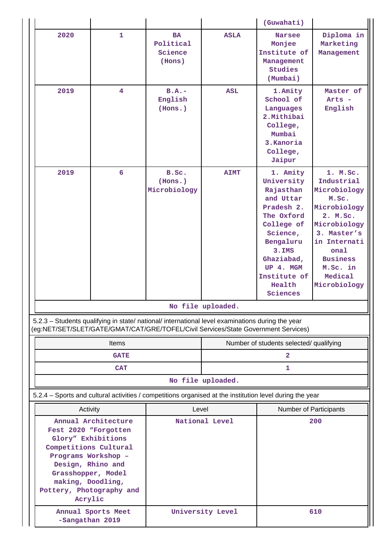|                                                                                                                                                                                                                          |                    |                                             |                                  | (Guwahati)                                                                                                                                                                                       |                                                                                                                                                                                              |  |
|--------------------------------------------------------------------------------------------------------------------------------------------------------------------------------------------------------------------------|--------------------|---------------------------------------------|----------------------------------|--------------------------------------------------------------------------------------------------------------------------------------------------------------------------------------------------|----------------------------------------------------------------------------------------------------------------------------------------------------------------------------------------------|--|
| 2020                                                                                                                                                                                                                     | $\mathbf{1}$       | <b>BA</b><br>Political<br>Science<br>(Hons) | <b>ASLA</b>                      | <b>Narsee</b><br>Monjee<br>Institute of<br>Management<br>Studies<br>(Mumbai)                                                                                                                     | Diploma in<br>Marketing<br>Management                                                                                                                                                        |  |
| 2019                                                                                                                                                                                                                     | $\overline{4}$     | $B.A.-$<br>English<br>(Hons.)               | <b>ASL</b>                       | 1.Amity<br>School of<br>Languages<br>2. Mithibai<br>College,<br>Mumbai<br>3.Kanoria<br>College,<br>Jaipur                                                                                        | Master of<br>Arts -<br>English                                                                                                                                                               |  |
| 2019                                                                                                                                                                                                                     | 6                  | B.Sc.<br>(Hons.)<br>Microbiology            | <b>AIMT</b><br>No file uploaded. | 1. Amity<br>University<br>Rajasthan<br>and Uttar<br>Pradesh 2.<br>The Oxford<br>College of<br>Science,<br>Bengaluru<br>$3.$ IMS<br>Ghaziabad,<br>UP 4. MGM<br>Institute of<br>Health<br>Sciences | 1. M.Sc.<br>Industrial<br>Microbiology<br>M.Sc.<br>Microbiology<br>2. M.Sc.<br>Microbiology<br>3. Master's<br>in Internati<br>onal<br><b>Business</b><br>M.Sc. in<br>Medical<br>Microbiology |  |
| 5.2.3 - Students qualifying in state/ national/ international level examinations during the year<br>(eg:NET/SET/SLET/GATE/GMAT/CAT/GRE/TOFEL/Civil Services/State Government Services)                                   |                    |                                             |                                  |                                                                                                                                                                                                  |                                                                                                                                                                                              |  |
|                                                                                                                                                                                                                          | Items              |                                             |                                  | Number of students selected/ qualifying                                                                                                                                                          |                                                                                                                                                                                              |  |
|                                                                                                                                                                                                                          | <b>GATE</b>        |                                             | $\overline{\mathbf{2}}$          |                                                                                                                                                                                                  |                                                                                                                                                                                              |  |
|                                                                                                                                                                                                                          | <b>CAT</b>         |                                             |                                  | 1                                                                                                                                                                                                |                                                                                                                                                                                              |  |
|                                                                                                                                                                                                                          |                    |                                             | No file uploaded.                |                                                                                                                                                                                                  |                                                                                                                                                                                              |  |
| 5.2.4 - Sports and cultural activities / competitions organised at the institution level during the year                                                                                                                 |                    |                                             |                                  |                                                                                                                                                                                                  |                                                                                                                                                                                              |  |
| Activity                                                                                                                                                                                                                 |                    | Level                                       |                                  | Number of Participants                                                                                                                                                                           |                                                                                                                                                                                              |  |
| Annual Architecture<br>Fest 2020 "Forgotten<br>Glory" Exhibitions<br>Competitions Cultural<br>Programs Workshop -<br>Design, Rhino and<br>Grasshopper, Model<br>making, Doodling,<br>Pottery, Photography and<br>Acrylic |                    | National Level                              |                                  |                                                                                                                                                                                                  | 200                                                                                                                                                                                          |  |
| -Sangathan 2019                                                                                                                                                                                                          | Annual Sports Meet | University Level                            |                                  | 610                                                                                                                                                                                              |                                                                                                                                                                                              |  |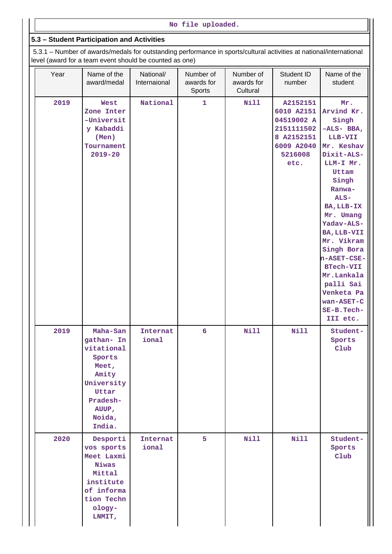### **No file uploaded.**

### **5.3 – Student Participation and Activities**

 5.3.1 – Number of awards/medals for outstanding performance in sports/cultural activities at national/international level (award for a team event should be counted as one)

| Year | Name of the<br>award/medal                                                                                                       | National/<br>Internaional | Number of<br>awards for<br>Sports | Number of<br>awards for<br>Cultural | Student ID<br>number                                                                              | Name of the<br>student                                                                                                                                                                                                                                                                                                                       |
|------|----------------------------------------------------------------------------------------------------------------------------------|---------------------------|-----------------------------------|-------------------------------------|---------------------------------------------------------------------------------------------------|----------------------------------------------------------------------------------------------------------------------------------------------------------------------------------------------------------------------------------------------------------------------------------------------------------------------------------------------|
| 2019 | West<br>Zone Inter<br>-Universit<br>y Kabaddi<br>(Men)<br>Tournament<br>$2019 - 20$                                              | National                  | 1                                 | <b>Nill</b>                         | A2152151<br>6010 A2151<br>04519002 A<br>2151111502<br>8 A2152151<br>6009 A2040<br>5216008<br>etc. | Mr.<br>Arvind Kr.<br>Singh<br>$-ALS-BBA,$<br>LLB-VII<br>Mr. Keshav<br>Dixit-ALS-<br>LLM-I Mr.<br>Uttam<br>Singh<br>Ranwa-<br>$ALS-$<br>BA, LLB-IX<br>Mr. Umang<br>Yadav-ALS-<br>BA, LLB-VII<br>Mr. Vikram<br>Singh Bora<br>n-ASET-CSE-<br><b>BTech-VII</b><br>Mr.Lankala<br>palli Sai<br>Venketa Pa<br>wan-ASET-C<br>SE-B. Tech-<br>III etc. |
| 2019 | Maha-San<br>gathan- In<br>vitational<br>Sports<br>Meet,<br>Amity<br>University<br>Uttar<br>Pradesh-<br>AUUP,<br>Noida,<br>India. | Internat<br>ional         | $6\phantom{1}6$                   | <b>Nill</b>                         | <b>Nill</b>                                                                                       | Student-<br>Sports<br>Club                                                                                                                                                                                                                                                                                                                   |
| 2020 | Desporti<br>vos sports<br>Meet Laxmi<br>Niwas<br>Mittal<br>institute<br>of informa<br>tion Techn<br>ology-<br>LNMIT,             | Internat<br>ional         | 5                                 | <b>Nill</b>                         | <b>Nill</b>                                                                                       | Student-<br>Sports<br>$_{\text{Club}}$                                                                                                                                                                                                                                                                                                       |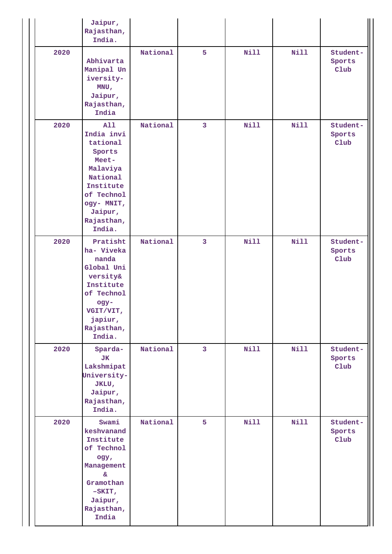|      | Jaipur,<br>Rajasthan,<br>India.                                                                                                                      |          |                         |             |             |                                        |
|------|------------------------------------------------------------------------------------------------------------------------------------------------------|----------|-------------------------|-------------|-------------|----------------------------------------|
| 2020 | Abhivarta<br>Manipal Un<br>iversity-<br>MNU,<br>Jaipur,<br>Rajasthan,<br>India                                                                       | National | 5                       | <b>Nill</b> | Nill        | Student-<br>Sports<br>$_{\text{Club}}$ |
| 2020 | All<br>India invi<br>tational<br>Sports<br>Meet-<br>Malaviya<br>National<br>Institute<br>of Technol<br>ogy- MNIT,<br>Jaipur,<br>Rajasthan,<br>India. | National | 3                       | <b>Nill</b> | <b>Nill</b> | Student-<br>Sports<br>$_{\text{Club}}$ |
| 2020 | Pratisht<br>ha- Viveka<br>nanda<br>Global Uni<br>versity&<br>Institute<br>of Technol<br>ogy-<br>VGIT/VIT,<br>japiur,<br>Rajasthan,<br>India.         | National | 3                       | Nill        | Nill        | Student-<br>Sports<br>$_{\text{Club}}$ |
| 2020 | Sparda-<br><b>JK</b><br>Lakshmipat<br>University-<br>JKLU,<br>Jaipur,<br>Rajasthan,<br>India.                                                        | National | $\overline{\mathbf{3}}$ | <b>Nill</b> | Nill        | Student-<br>Sports<br>$_{\text{Club}}$ |
| 2020 | Swami<br>keshvanand<br>Institute<br>of Technol<br>ogy,<br>Management<br>۶£<br>Gramothan<br>$-SKIT,$<br>Jaipur,<br>Rajasthan,<br>India                | National | 5                       | Nill        | <b>Nill</b> | Student-<br>Sports<br>$_{\text{Club}}$ |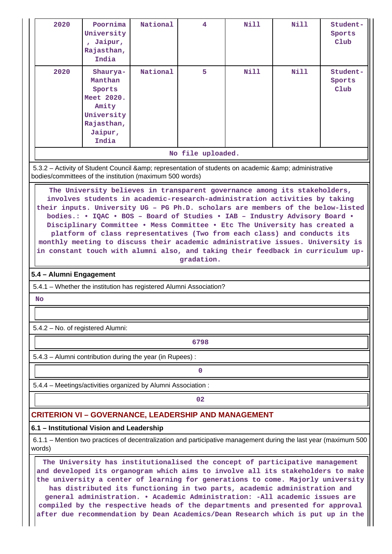| 2020                                                                                                                                                                                                                                                                                                                                                                                                                                                                                                                                                                                                                                                                  | Poornima<br>University<br>, Jaipur,<br>Rajasthan,<br>India                                                                                                | National | 4                 | Nill | <b>Nill</b> | Student-<br>Sports<br>Club |  |
|-----------------------------------------------------------------------------------------------------------------------------------------------------------------------------------------------------------------------------------------------------------------------------------------------------------------------------------------------------------------------------------------------------------------------------------------------------------------------------------------------------------------------------------------------------------------------------------------------------------------------------------------------------------------------|-----------------------------------------------------------------------------------------------------------------------------------------------------------|----------|-------------------|------|-------------|----------------------------|--|
| 2020                                                                                                                                                                                                                                                                                                                                                                                                                                                                                                                                                                                                                                                                  | Shaurya-<br>Manthan<br>Sports<br>Meet 2020.<br>Amity<br>University<br>Rajasthan,<br>Jaipur,<br>India                                                      | National | 5.                | Nill | Nill        | Student-<br>Sports<br>Club |  |
|                                                                                                                                                                                                                                                                                                                                                                                                                                                                                                                                                                                                                                                                       |                                                                                                                                                           |          | No file uploaded. |      |             |                            |  |
|                                                                                                                                                                                                                                                                                                                                                                                                                                                                                                                                                                                                                                                                       | 5.3.2 - Activity of Student Council & representation of students on academic & administrative<br>bodies/committees of the institution (maximum 500 words) |          |                   |      |             |                            |  |
| The University believes in transparent governance among its stakeholders,<br>involves students in academic-research-administration activities by taking<br>their inputs. University UG - PG Ph.D. scholars are members of the below-listed<br>bodies.: . IQAC . BOS - Board of Studies . IAB - Industry Advisory Board .<br>Disciplinary Committee . Mess Committee . Etc The University has created a<br>platform of class representatives (Two from each class) and conducts its<br>monthly meeting to discuss their academic administrative issues. University is<br>in constant touch with alumni also, and taking their feedback in curriculum up-<br>gradation. |                                                                                                                                                           |          |                   |      |             |                            |  |
| 5.4 - Alumni Engagement                                                                                                                                                                                                                                                                                                                                                                                                                                                                                                                                                                                                                                               |                                                                                                                                                           |          |                   |      |             |                            |  |
|                                                                                                                                                                                                                                                                                                                                                                                                                                                                                                                                                                                                                                                                       | 5.4.1 - Whether the institution has registered Alumni Association?                                                                                        |          |                   |      |             |                            |  |
| <b>No</b>                                                                                                                                                                                                                                                                                                                                                                                                                                                                                                                                                                                                                                                             |                                                                                                                                                           |          |                   |      |             |                            |  |
|                                                                                                                                                                                                                                                                                                                                                                                                                                                                                                                                                                                                                                                                       |                                                                                                                                                           |          |                   |      |             |                            |  |
| 5.4.2 - No. of registered Alumni:                                                                                                                                                                                                                                                                                                                                                                                                                                                                                                                                                                                                                                     |                                                                                                                                                           |          |                   |      |             |                            |  |
|                                                                                                                                                                                                                                                                                                                                                                                                                                                                                                                                                                                                                                                                       |                                                                                                                                                           |          | 6798              |      |             |                            |  |
|                                                                                                                                                                                                                                                                                                                                                                                                                                                                                                                                                                                                                                                                       | 5.4.3 - Alumni contribution during the year (in Rupees):                                                                                                  |          |                   |      |             |                            |  |
|                                                                                                                                                                                                                                                                                                                                                                                                                                                                                                                                                                                                                                                                       |                                                                                                                                                           |          | 0                 |      |             |                            |  |
|                                                                                                                                                                                                                                                                                                                                                                                                                                                                                                                                                                                                                                                                       | 5.4.4 - Meetings/activities organized by Alumni Association:                                                                                              |          |                   |      |             |                            |  |
|                                                                                                                                                                                                                                                                                                                                                                                                                                                                                                                                                                                                                                                                       |                                                                                                                                                           |          | 02                |      |             |                            |  |
|                                                                                                                                                                                                                                                                                                                                                                                                                                                                                                                                                                                                                                                                       | <b>CRITERION VI - GOVERNANCE, LEADERSHIP AND MANAGEMENT</b>                                                                                               |          |                   |      |             |                            |  |
|                                                                                                                                                                                                                                                                                                                                                                                                                                                                                                                                                                                                                                                                       | 6.1 - Institutional Vision and Leadership                                                                                                                 |          |                   |      |             |                            |  |
| 6.1.1 – Mention two practices of decentralization and participative management during the last year (maximum 500<br>words)                                                                                                                                                                                                                                                                                                                                                                                                                                                                                                                                            |                                                                                                                                                           |          |                   |      |             |                            |  |
| The University has institutionalised the concept of participative management<br>and developed its organogram which aims to involve all its stakeholders to make<br>the university a center of learning for generations to come. Majorly university<br>has distributed its functioning in two parts, academic administration and<br>general administration. • Academic Administration: -All academic issues are<br>by the regnective heads of the departments and presented for appr                                                                                                                                                                                   |                                                                                                                                                           |          |                   |      |             |                            |  |

**compiled by the respective heads of the departments and presented for approval after due recommendation by Dean Academics/Dean Research which is put up in the**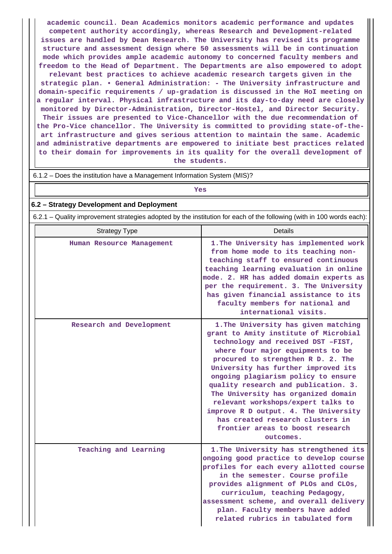**academic council. Dean Academics monitors academic performance and updates competent authority accordingly, whereas Research and Development-related issues are handled by Dean Research. The University has revised its programme structure and assessment design where 50 assessments will be in continuation mode which provides ample academic autonomy to concerned faculty members and freedom to the Head of Department. The Departments are also empowered to adopt relevant best practices to achieve academic research targets given in the strategic plan. • General Administration: - The University infrastructure and domain-specific requirements / up-gradation is discussed in the HoI meeting on a regular interval. Physical infrastructure and its day-to-day need are closely monitored by Director-Administration, Director-Hostel, and Director Security. Their issues are presented to Vice-Chancellor with the due recommendation of the Pro-Vice chancellor. The University is committed to providing state-of-theart infrastructure and gives serious attention to maintain the same. Academic and administrative departments are empowered to initiate best practices related to their domain for improvements in its quality for the overall development of the students.**

6.1.2 – Does the institution have a Management Information System (MIS)?

# *Yes*

## **6.2 – Strategy Development and Deployment**

6.2.1 – Quality improvement strategies adopted by the institution for each of the following (with in 100 words each):

| <b>Strategy Type</b>      | <b>Details</b>                                                                                                                                                                                                                                                                                                                                                                                                                                                                                                                  |
|---------------------------|---------------------------------------------------------------------------------------------------------------------------------------------------------------------------------------------------------------------------------------------------------------------------------------------------------------------------------------------------------------------------------------------------------------------------------------------------------------------------------------------------------------------------------|
| Human Resource Management | 1. The University has implemented work<br>from home mode to its teaching non-<br>teaching staff to ensured continuous<br>teaching learning evaluation in online<br>mode. 2. HR has added domain experts as<br>per the requirement. 3. The University<br>has given financial assistance to its<br>faculty members for national and<br>international visits.                                                                                                                                                                      |
| Research and Development  | 1. The University has given matching<br>grant to Amity institute of Microbial<br>technology and received DST -FIST,<br>where four major equipments to be<br>procured to strengthen R D. 2. The<br>University has further improved its<br>ongoing plagiarism policy to ensure<br>quality research and publication. 3.<br>The University has organized domain<br>relevant workshops/expert talks to<br>improve R D output. 4. The University<br>has created research clusters in<br>frontier areas to boost research<br>outcomes. |
| Teaching and Learning     | 1. The University has strengthened its<br>ongoing good practice to develop course<br>profiles for each every allotted course<br>in the semester. Course profile<br>provides alignment of PLOs and CLOs,<br>curriculum, teaching Pedagogy,<br>assessment scheme, and overall delivery<br>plan. Faculty members have added<br>related rubrics in tabulated form                                                                                                                                                                   |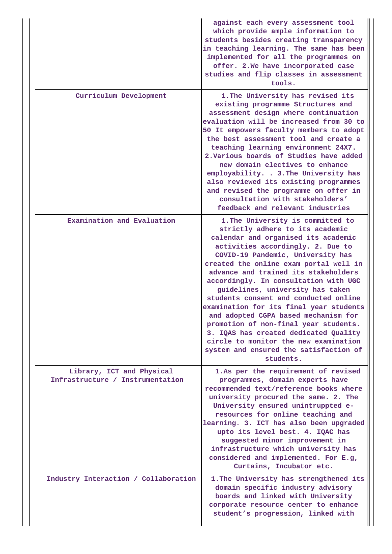|  |                                                               | against each every assessment tool<br>which provide ample information to<br>students besides creating transparency<br>in teaching learning. The same has been<br>implemented for all the programmes on<br>offer. 2. We have incorporated case<br>studies and flip classes in assessment<br>tools.                                                                                                                                                                                                                                                                                                                                                                  |
|--|---------------------------------------------------------------|--------------------------------------------------------------------------------------------------------------------------------------------------------------------------------------------------------------------------------------------------------------------------------------------------------------------------------------------------------------------------------------------------------------------------------------------------------------------------------------------------------------------------------------------------------------------------------------------------------------------------------------------------------------------|
|  | Curriculum Development                                        | 1. The University has revised its<br>existing programme Structures and<br>assessment design where continuation<br>evaluation will be increased from 30 to<br>50 It empowers faculty members to adopt<br>the best assessment tool and create a<br>teaching learning environment 24X7.<br>2. Various boards of Studies have added<br>new domain electives to enhance<br>employability. . 3. The University has<br>also reviewed its existing programmes<br>and revised the programme on offer in<br>consultation with stakeholders'<br>feedback and relevant industries                                                                                              |
|  | Examination and Evaluation                                    | 1. The University is committed to<br>strictly adhere to its academic<br>calendar and organised its academic<br>activities accordingly. 2. Due to<br>COVID-19 Pandemic, University has<br>created the online exam portal well in<br>advance and trained its stakeholders<br>accordingly. In consultation with UGC<br>guidelines, university has taken<br>students consent and conducted online<br>examination for its final year students<br>and adopted CGPA based mechanism for<br>promotion of non-final year students.<br>3. IQAS has created dedicated Quality<br>circle to monitor the new examination<br>system and ensured the satisfaction of<br>students. |
|  | Library, ICT and Physical<br>Infrastructure / Instrumentation | 1.As per the requirement of revised<br>programmes, domain experts have<br>recommended text/reference books where<br>university procured the same. 2. The<br>University ensured unintruppted e-<br>resources for online teaching and<br>learning. 3. ICT has also been upgraded<br>upto its level best. 4. IQAC has<br>suggested minor improvement in<br>infrastructure which university has<br>considered and implemented. For E.g,<br>Curtains, Incubator etc.                                                                                                                                                                                                    |
|  | Industry Interaction / Collaboration                          | 1. The University has strengthened its<br>domain specific industry advisory<br>boards and linked with University<br>corporate resource center to enhance<br>student's progression, linked with                                                                                                                                                                                                                                                                                                                                                                                                                                                                     |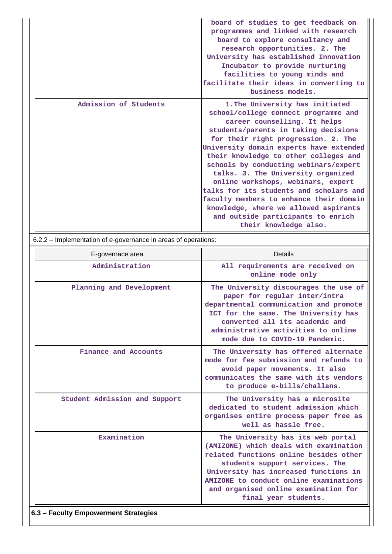|                       | board of studies to get feedback on<br>programmes and linked with research<br>board to explore consultancy and<br>research opportunities. 2. The<br>University has established Innovation<br>Incubator to provide nurturing<br>facilities to young minds and<br>facilitate their ideas in converting to<br>business models.                                                                                                                                                                                                                                                                   |
|-----------------------|-----------------------------------------------------------------------------------------------------------------------------------------------------------------------------------------------------------------------------------------------------------------------------------------------------------------------------------------------------------------------------------------------------------------------------------------------------------------------------------------------------------------------------------------------------------------------------------------------|
| Admission of Students | 1. The University has initiated<br>school/college connect programme and<br>career counselling. It helps<br>students/parents in taking decisions<br>for their right progression. 2. The<br>University domain experts have extended<br>their knowledge to other colleges and<br>schools by conducting webinars/expert<br>talks. 3. The University organized<br>online workshops, webinars, expert<br>talks for its students and scholars and<br>faculty members to enhance their domain<br>knowledge, where we allowed aspirants<br>and outside participants to enrich<br>their knowledge also. |

6.2.2 – Implementation of e-governance in areas of operations:

| E-governace area              | <b>Details</b>                                                                                                                                                                                                                                                                                             |
|-------------------------------|------------------------------------------------------------------------------------------------------------------------------------------------------------------------------------------------------------------------------------------------------------------------------------------------------------|
| Administration                | All requirements are received on<br>online mode only                                                                                                                                                                                                                                                       |
| Planning and Development      | The University discourages the use of<br>paper for regular inter/intra<br>departmental communication and promote<br>ICT for the same. The University has<br>converted all its academic and<br>administrative activities to online<br>mode due to COVID-19 Pandemic.                                        |
| Finance and Accounts          | The University has offered alternate<br>mode for fee submission and refunds to<br>avoid paper movements. It also<br>communicates the same with its vendors<br>to produce e-bills/challans.                                                                                                                 |
| Student Admission and Support | The University has a microsite<br>dedicated to student admission which<br>organises entire process paper free as<br>well as hassle free.                                                                                                                                                                   |
| Examination                   | The University has its web portal<br>(AMIZONE) which deals with examination<br>related functions online besides other<br>students support services. The<br>University has increased functions in<br>AMIZONE to conduct online examinations<br>and organised online examination for<br>final year students. |
|                               |                                                                                                                                                                                                                                                                                                            |

### **6.3 – Faculty Empowerment Strategies**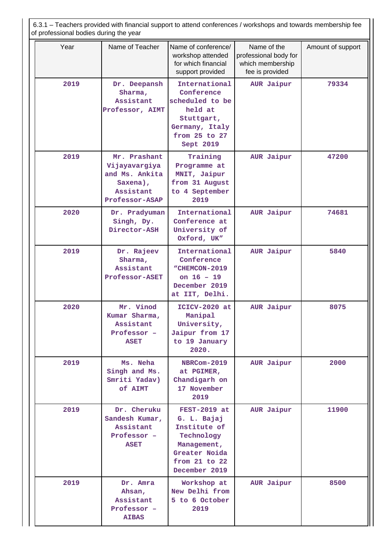| 6.3.1 – Teachers provided with financial support to attend conferences / workshops and towards membership fee<br>of professional bodies during the year |                                                                                            |                                                                                                                                 |                                                                             |       |  |  |
|---------------------------------------------------------------------------------------------------------------------------------------------------------|--------------------------------------------------------------------------------------------|---------------------------------------------------------------------------------------------------------------------------------|-----------------------------------------------------------------------------|-------|--|--|
| Year                                                                                                                                                    | Name of Teacher                                                                            | Name of conference/<br>workshop attended<br>for which financial<br>support provided                                             | Name of the<br>professional body for<br>which membership<br>fee is provided |       |  |  |
| 2019                                                                                                                                                    | Dr. Deepansh<br>Sharma,<br>Assistant<br>Professor, AIMT                                    | International<br>Conference<br>scheduled to be<br>held at<br>Stuttgart,<br>Germany, Italy<br>from 25 to 27<br>Sept 2019         | AUR Jaipur                                                                  | 79334 |  |  |
| 2019                                                                                                                                                    | Mr. Prashant<br>Vijayavargiya<br>and Ms. Ankita<br>Saxena),<br>Assistant<br>Professor-ASAP | Training<br>Programme at<br>MNIT, Jaipur<br>from 31 August<br>to 4 September<br>2019                                            | AUR Jaipur                                                                  | 47200 |  |  |
| 2020                                                                                                                                                    | Dr. Pradyuman<br>Singh, Dy.<br>Director-ASH                                                | International<br>Conference at<br>University of<br>Oxford, UK"                                                                  | AUR Jaipur                                                                  | 74681 |  |  |
| 2019                                                                                                                                                    | Dr. Rajeev<br>Sharma,<br>Assistant<br>Professor-ASET                                       | International<br>Conference<br>"CHEMCON-2019<br>on $16 - 19$<br>December 2019<br>at IIT, Delhi.                                 | AUR Jaipur                                                                  | 5840  |  |  |
| 2020                                                                                                                                                    | Mr. Vinod<br>Kumar Sharma,<br>Assistant<br>Professor -<br><b>ASET</b>                      | ICICV-2020 at<br>Manipal<br>University,<br>Jaipur from 17<br>to 19 January<br>2020.                                             | AUR Jaipur                                                                  | 8075  |  |  |
| 2019                                                                                                                                                    | Ms. Neha<br>Singh and Ms.<br>Smriti Yadav)<br>of AIMT                                      | <b>NBRCom-2019</b><br>at PGIMER,<br>Chandigarh on<br>17 November<br>2019                                                        | AUR Jaipur                                                                  | 2000  |  |  |
| 2019                                                                                                                                                    | Dr. Cheruku<br>Sandesh Kumar,<br>Assistant<br>Professor -<br><b>ASET</b>                   | FEST-2019 at<br>G. L. Bajaj<br>Institute of<br>Technology<br>Management,<br>Greater Noida<br>from $21$ to $22$<br>December 2019 | AUR Jaipur                                                                  | 11900 |  |  |
| 2019                                                                                                                                                    | Dr. Amra<br>Ahsan,<br>Assistant<br>Professor -<br><b>AIBAS</b>                             | Workshop at<br>New Delhi from<br>5 to 6 October<br>2019                                                                         | AUR Jaipur                                                                  | 8500  |  |  |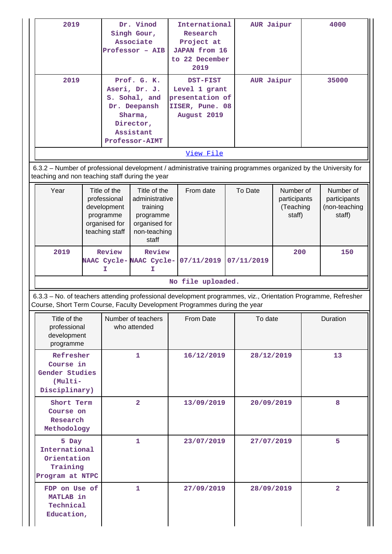| 2019<br>Dr. Vinod<br>Singh Gour,<br>Associate<br>Professor - AIB                                                                      |                                                                                                                                                                                                                            | International<br>Research<br>Project at<br><b>JAPAN</b> from 16<br>to 22 December<br>2019         |                                                                                                                                    | AUR Jaipur |                                                  | 4000  |                                                      |
|---------------------------------------------------------------------------------------------------------------------------------------|----------------------------------------------------------------------------------------------------------------------------------------------------------------------------------------------------------------------------|---------------------------------------------------------------------------------------------------|------------------------------------------------------------------------------------------------------------------------------------|------------|--------------------------------------------------|-------|------------------------------------------------------|
| 2019                                                                                                                                  | Prof. G. K.<br>DST-FIST<br>Aseri, Dr. J.<br>Level 1 grant<br>S. Sohal, and<br>presentation of<br>IISER, Pune. 08<br>Dr. Deepansh<br>August 2019<br>Sharma,<br>Director,<br>Assistant<br><b>Professor-AIMT</b><br>View File |                                                                                                   |                                                                                                                                    | AUR Jaipur |                                                  | 35000 |                                                      |
| teaching and non teaching staff during the year                                                                                       |                                                                                                                                                                                                                            |                                                                                                   | 6.3.2 - Number of professional development / administrative training programmes organized by the University for                    |            |                                                  |       |                                                      |
| Year                                                                                                                                  | Title of the<br>professional<br>development<br>programme<br>organised for<br>teaching staff                                                                                                                                | Title of the<br>administrative<br>training<br>programme<br>organised for<br>non-teaching<br>staff | From date                                                                                                                          | To Date    | Number of<br>participants<br>(Teaching<br>staff) |       | Number of<br>participants<br>(non-teaching<br>staff) |
| 2019                                                                                                                                  | Review<br>Review<br>NAAC Cycle-NAAC Cycle-<br>I<br>I                                                                                                                                                                       |                                                                                                   | 07/11/2019                                                                                                                         | 07/11/2019 | 200                                              |       | 150                                                  |
|                                                                                                                                       |                                                                                                                                                                                                                            |                                                                                                   | No file uploaded.<br>6.3.3 - No. of teachers attending professional development programmes, viz., Orientation Programme, Refresher |            |                                                  |       |                                                      |
| Course, Short Term Course, Faculty Development Programmes during the year<br>Title of the<br>professional<br>development<br>programme |                                                                                                                                                                                                                            | Number of teachers<br>who attended                                                                | From Date                                                                                                                          | To date    |                                                  |       | Duration                                             |
| Refresher<br>Course in<br>Gender Studies<br>(Multi-<br>Disciplinary)                                                                  |                                                                                                                                                                                                                            | 1                                                                                                 | 16/12/2019                                                                                                                         | 28/12/2019 |                                                  | 13    |                                                      |
| $\overline{2}$<br>Short Term<br>Course on<br>Research<br>Methodology                                                                  |                                                                                                                                                                                                                            |                                                                                                   | 13/09/2019                                                                                                                         |            | 20/09/2019                                       |       | 8                                                    |
| 5 Day<br>1<br>International<br>Orientation<br>Training<br>Program at NTPC                                                             |                                                                                                                                                                                                                            |                                                                                                   | 23/07/2019                                                                                                                         |            | 27/07/2019                                       |       | 5                                                    |
| FDP on Use of<br>MATLAB in<br>Technical<br>Education,                                                                                 | 1<br>27/09/2019<br>28/09/2019                                                                                                                                                                                              |                                                                                                   |                                                                                                                                    |            | $\overline{2}$                                   |       |                                                      |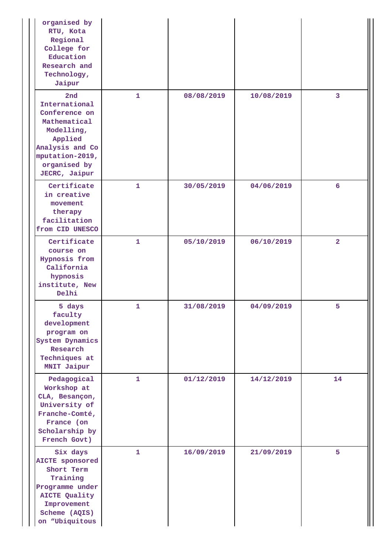| organised by<br>RTU, Kota<br>Regional<br>College for<br>Education<br>Research and<br>Technology,<br>Jaipur                                                |              |            |            |                |
|-----------------------------------------------------------------------------------------------------------------------------------------------------------|--------------|------------|------------|----------------|
| 2nd<br>International<br>Conference on<br>Mathematical<br>Modelling,<br>Applied<br>Analysis and Co<br>mputation-2019,<br>organised by<br>JECRC, Jaipur     | $\mathbf{1}$ | 08/08/2019 | 10/08/2019 | 3              |
| Certificate<br>in creative<br>movement<br>therapy<br>facilitation<br>from CID UNESCO                                                                      | $\mathbf{1}$ | 30/05/2019 | 04/06/2019 | 6              |
| Certificate<br>course on<br>Hypnosis from<br>California<br>hypnosis<br>institute, New<br>Delhi                                                            | $\mathbf{1}$ | 05/10/2019 | 06/10/2019 | $\overline{a}$ |
| 5 days<br>faculty<br>development<br>program on<br>System Dynamics<br>Research<br>Techniques at<br>MNIT Jaipur                                             | 1            | 31/08/2019 | 04/09/2019 | 5              |
| Pedagogical<br>Workshop at<br>CLA, Besançon,<br>University of<br>Franche-Comté,<br>France (on<br>Scholarship by<br>French Govt)                           | $\mathbf{1}$ | 01/12/2019 | 14/12/2019 | 14             |
| Six days<br><b>AICTE</b> sponsored<br>Short Term<br>Training<br>Programme under<br><b>AICTE Quality</b><br>Improvement<br>Scheme (AQIS)<br>on "Ubiquitous | $\mathbf{1}$ | 16/09/2019 | 21/09/2019 | 5              |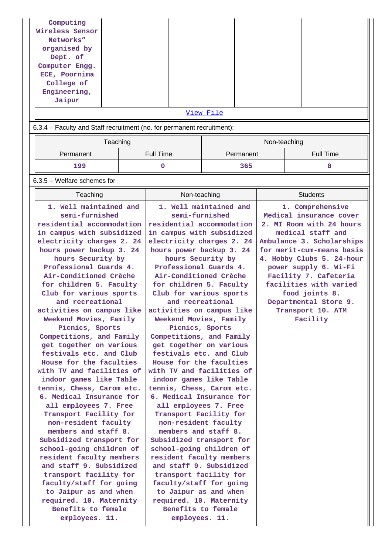| Computing<br>Wireless Sensor<br>Networks"<br>organised by<br>Dept. of<br>Computer Engg.<br>ECE, Poornima<br>College of<br>Engineering,<br>Jaipur |           |  |                  |     |                  |  |
|--------------------------------------------------------------------------------------------------------------------------------------------------|-----------|--|------------------|-----|------------------|--|
|                                                                                                                                                  |           |  | <u>View File</u> |     |                  |  |
| 6.3.4 – Faculty and Staff recruitment (no. for permanent recruitment):                                                                           |           |  |                  |     |                  |  |
| Teaching                                                                                                                                         |           |  | Non-teaching     |     |                  |  |
| Permanent                                                                                                                                        | Full Time |  | Permanent        |     | <b>Full Time</b> |  |
| 199                                                                                                                                              |           |  |                  | 365 |                  |  |

6.3.5 – Welfare schemes for

| Teaching                                         | Non-teaching                                     | <b>Students</b>                             |
|--------------------------------------------------|--------------------------------------------------|---------------------------------------------|
| 1. Well maintained and<br>semi-furnished         | 1. Well maintained and<br>semi-furnished         | 1. Comprehensive<br>Medical insurance cover |
| residential accommodation                        | residential accommodation                        | 2. MI Room with 24 hours                    |
| in campus with subsidized                        | in campus with subsidized                        | medical staff and                           |
| electricity charges 2. 24                        | electricity charges 2. 24                        | Ambulance 3. Scholarships                   |
| hours power backup 3. 24                         | hours power backup 3. 24                         | for merit-cum-means basis                   |
| hours Security by                                | hours Security by                                | 4. Hobby Clubs 5. 24-hour                   |
| Professional Guards 4.                           | Professional Guards 4.                           | power supply 6. Wi-Fi                       |
| Air-Conditioned Crèche                           | Air-Conditioned Crèche                           | Facility 7. Cafeteria                       |
| for children 5. Faculty                          | for children 5. Faculty                          | facilities with varied                      |
| Club for various sports                          | Club for various sports                          | food joints 8.                              |
| and recreational                                 | and recreational                                 | Departmental Store 9.                       |
| activities on campus like                        | activities on campus like                        | Transport 10. ATM                           |
| Weekend Movies, Family                           | Weekend Movies, Family                           | Facility                                    |
| Picnics, Sports                                  | Picnics, Sports                                  |                                             |
| Competitions, and Family                         | Competitions, and Family                         |                                             |
| get together on various                          | get together on various                          |                                             |
| festivals etc. and Club                          | festivals etc. and Club                          |                                             |
| House for the faculties                          | House for the faculties                          |                                             |
| with TV and facilities of                        | with TV and facilities of                        |                                             |
| indoor games like Table                          | indoor games like Table                          |                                             |
| tennis, Chess, Carom etc.                        | tennis, Chess, Carom etc.                        |                                             |
| 6. Medical Insurance for                         | 6. Medical Insurance for                         |                                             |
| all employees 7. Free                            | all employees 7. Free                            |                                             |
| Transport Facility for                           | Transport Facility for                           |                                             |
| non-resident faculty                             | non-resident faculty                             |                                             |
| members and staff 8.                             | members and staff 8.                             |                                             |
| Subsidized transport for                         | Subsidized transport for                         |                                             |
| school-going children of                         | school-going children of                         |                                             |
| resident faculty members                         | resident faculty members                         |                                             |
| and staff 9. Subsidized                          | and staff 9. Subsidized                          |                                             |
| transport facility for                           | transport facility for                           |                                             |
| faculty/staff for going                          | faculty/staff for going                          |                                             |
| to Jaipur as and when<br>required. 10. Maternity | to Jaipur as and when<br>required. 10. Maternity |                                             |
| Benefits to female                               | Benefits to female                               |                                             |
| employees. 11.                                   | employees. 11.                                   |                                             |
|                                                  |                                                  |                                             |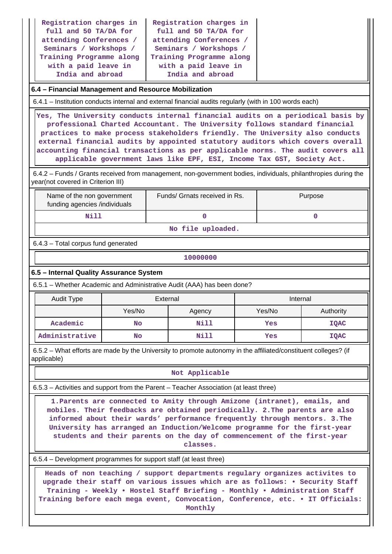| Registration charges in  | Registration charges in  |
|--------------------------|--------------------------|
| full and 50 TA/DA for    | full and 50 TA/DA for    |
| attending Conferences /  | attending Conferences /  |
| Seminars / Workshops /   | Seminars / Workshops /   |
| Training Programme along | Training Programme along |
| with a paid leave in     | with a paid leave in     |
| India and abroad         | India and abroad         |

### **6.4 – Financial Management and Resource Mobilization**

6.4.1 – Institution conducts internal and external financial audits regularly (with in 100 words each)

 **Yes, The University conducts internal financial audits on a periodical basis by professional Charted Accountant. The University follows standard financial practices to make process stakeholders friendly. The University also conducts external financial audits by appointed statutory auditors which covers overall accounting financial transactions as per applicable norms. The audit covers all applicable government laws like EPF, ESI, Income Tax GST, Society Act.**

 6.4.2 – Funds / Grants received from management, non-government bodies, individuals, philanthropies during the year(not covered in Criterion III)

| Name of the non government<br>funding agencies /individuals | Funds/ Grnats received in Rs. | Purpose |  |  |
|-------------------------------------------------------------|-------------------------------|---------|--|--|
| Nill                                                        |                               |         |  |  |
|                                                             |                               |         |  |  |

**No file uploaded.**

6.4.3 – Total corpus fund generated

### **10000000**

### **6.5 – Internal Quality Assurance System**

6.5.1 – Whether Academic and Administrative Audit (AAA) has been done?

| Audit Type     | External  |        | Internal |             |
|----------------|-----------|--------|----------|-------------|
|                | Yes/No    | Agency | Yes/No   | Authority   |
| Academic       | <b>No</b> | Nill   | Yes      | <b>IQAC</b> |
| Administrative | No        | Nill   | Yes      | <b>IQAC</b> |

 6.5.2 – What efforts are made by the University to promote autonomy in the affiliated/constituent colleges? (if applicable)

#### **Not Applicable**

6.5.3 – Activities and support from the Parent – Teacher Association (at least three)

 **1.Parents are connected to Amity through Amizone (intranet), emails, and mobiles. Their feedbacks are obtained periodically. 2.The parents are also informed about their wards' performance frequently through mentors. 3.The University has arranged an Induction/Welcome programme for the first-year students and their parents on the day of commencement of the first-year classes.**

6.5.4 – Development programmes for support staff (at least three)

 **Heads of non teaching / support departments regulary organizes activites to upgrade their staff on various issues which are as follows: • Security Staff Training - Weekly • Hostel Staff Briefing - Monthly • Administration Staff Training before each mega event, Convocation, Conference, etc. • IT Officials: Monthly**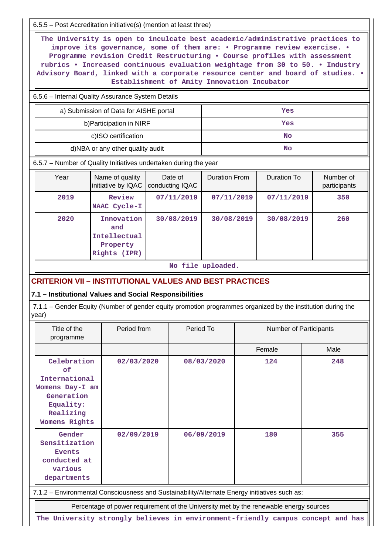6.5.5 – Post Accreditation initiative(s) (mention at least three)

 **The University is open to inculcate best academic/administrative practices to improve its governance, some of them are: • Programme review exercise. • Programme revision Credit Restructuring • Course profiles with assessment rubrics • Increased continuous evaluation weightage from 30 to 50. • Industry Advisory Board, linked with a corporate resource center and board of studies. • Establishment of Amity Innovation Incubator**

6.5.6 – Internal Quality Assurance System Details

| a) Submission of Data for AISHE portal | Yes |
|----------------------------------------|-----|
| b) Participation in NIRF               | Yes |
| c)ISO certification                    | No  |
| d)NBA or any other quality audit       | No  |

6.5.7 – Number of Quality Initiatives undertaken during the year

| Year | Name of quality<br>initiative by IQAC                         | Date of<br>conducting IQAC | <b>Duration From</b> | Duration To | Number of<br>participants |
|------|---------------------------------------------------------------|----------------------------|----------------------|-------------|---------------------------|
| 2019 | Review<br>NAAC Cycle-I                                        | 07/11/2019                 | 07/11/2019           | 07/11/2019  | 350                       |
| 2020 | Innovation<br>and<br>Intellectual<br>Property<br>Rights (IPR) | 30/08/2019                 | 30/08/2019           | 30/08/2019  | 260                       |

**No file uploaded.**

# **CRITERION VII – INSTITUTIONAL VALUES AND BEST PRACTICES**

### **7.1 – Institutional Values and Social Responsibilities**

 7.1.1 – Gender Equity (Number of gender equity promotion programmes organized by the institution during the year)

| Title of the<br>programme                                                                                                                                                                                                             | Period from | Period To  | <b>Number of Participants</b> |      |
|---------------------------------------------------------------------------------------------------------------------------------------------------------------------------------------------------------------------------------------|-------------|------------|-------------------------------|------|
|                                                                                                                                                                                                                                       |             |            | Female                        | Male |
| Celebration<br>0f<br>International<br>Womens Day-I am<br>Generation<br>Equality:<br>Realizing<br>Womens Rights                                                                                                                        | 02/03/2020  | 08/03/2020 | 124                           | 248  |
| Gender<br>Sensitization<br><b>Events</b><br>conducted at<br>various<br>departments                                                                                                                                                    | 02/09/2019  | 06/09/2019 | 180                           | 355  |
| 7.1.2 - Environmental Consciousness and Sustainability/Alternate Energy initiatives such as:                                                                                                                                          |             |            |                               |      |
| $\blacksquare$ . The contract of the contract of the contract of the contract of the state of the contract of the contract of the contract of the contract of the contract of the contract of the contract of the contract of the con |             |            |                               |      |

Percentage of power requirement of the University met by the renewable energy sources

**The University strongly believes in environment-friendly campus concept and has**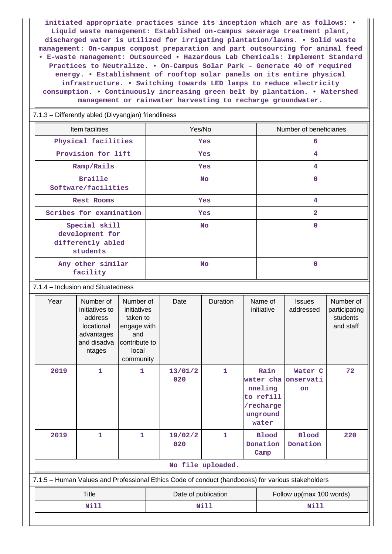**initiated appropriate practices since its inception which are as follows: • Liquid waste management: Established on-campus sewerage treatment plant, discharged water is utilized for irrigating plantation/lawns. • Solid waste management: On-campus compost preparation and part outsourcing for animal feed • E-waste management: Outsourced • Hazardous Lab Chemicals: Implement Standard Practices to Neutralize. • On-Campus Solar Park – Generate 40 of required energy. • Establishment of rooftop solar panels on its entire physical infrastructure. • Switching towards LED lamps to reduce electricity consumption. • Continuously increasing green belt by plantation. • Watershed management or rainwater harvesting to recharge groundwater.**

 7.1.3 – Differently abled (Divyangjan) friendliness Item facilities The Mumber of beneficiaries Note 2016. The Ves/Note 2016 Number of beneficiaries  **Physical facilities Yes 6 Provision for lift | Yes 4 Ramp/Rails Yes 4 Braille Software/facilities No 0 Rest Rooms Yes 4 Scribes for examination Yes 2 Special skill development for differently abled students No 0 Any other similar facility No 0** 7.1.4 – Inclusion and Situatedness Year | Number of initiatives to address locational advantages and disadva ntages Number of initiatives taken to engage with and contribute to local community Date | Duration | Name of initiative **Issues** addressed Number of participating students and staff  **2019 1 1 13/01/2 020 1 Rain water cha nneling to refill /recharge unground water Water C onservati on 72 2019 1 1 19/02/2 020 1 Blood Donation Camp Blood Donation 220 No file uploaded.** 7.1.5 – Human Values and Professional Ethics Code of conduct (handbooks) for various stakeholders Title **Title Date of publication Follow up(max 100 words)** 

 **Nill Nill Nill**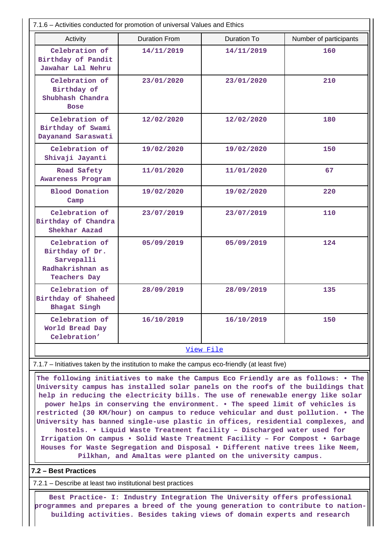| 7.1.6 - Activities conducted for promotion of universal Values and Ethics                  |                      |                    |                        |  |
|--------------------------------------------------------------------------------------------|----------------------|--------------------|------------------------|--|
| Activity                                                                                   | <b>Duration From</b> | <b>Duration To</b> | Number of participants |  |
| Celebration of<br>Birthday of Pandit<br>Jawahar Lal Nehru                                  | 14/11/2019           | 14/11/2019         | 160                    |  |
| Celebration of<br>Birthday of<br>Shubhash Chandra<br><b>Bose</b>                           | 23/01/2020           | 23/01/2020         | 210                    |  |
| Celebration of<br>Birthday of Swami<br>Dayanand Saraswati                                  | 12/02/2020           | 12/02/2020         | 180                    |  |
| Celebration of<br>Shivaji Jayanti                                                          | 19/02/2020           | 19/02/2020         | 150                    |  |
| Road Safety<br>Awareness Program                                                           | 11/01/2020           | 11/01/2020         | 67                     |  |
| <b>Blood Donation</b><br>Camp                                                              | 19/02/2020           | 19/02/2020         | 220                    |  |
| Celebration of<br>Birthday of Chandra<br>Shekhar Aazad                                     | 23/07/2019           | 23/07/2019         | 110                    |  |
| Celebration of<br>Birthday of Dr.<br>Sarvepalli<br>Radhakrishnan as<br><b>Teachers Day</b> | 05/09/2019           | 05/09/2019         | 124                    |  |
| Celebration of<br>Birthday of Shaheed<br>Bhagat Singh                                      | 28/09/2019           | 28/09/2019         | 135                    |  |
| Celebration of<br>World Bread Day<br>Celebration'                                          | 16/10/2019           | 16/10/2019         | 150                    |  |
| View File                                                                                  |                      |                    |                        |  |

7.1.7 – Initiatives taken by the institution to make the campus eco-friendly (at least five)

 **The following initiatives to make the Campus Eco Friendly are as follows: • The University campus has installed solar panels on the roofs of the buildings that help in reducing the electricity bills. The use of renewable energy like solar power helps in conserving the environment. • The speed limit of vehicles is restricted (30 KM/hour) on campus to reduce vehicular and dust pollution. • The University has banned single-use plastic in offices, residential complexes, and hostels. • Liquid Waste Treatment facility – Discharged water used for Irrigation On campus • Solid Waste Treatment Facility – For Compost • Garbage Houses for Waste Segregation and Disposal • Different native trees like Neem, Pilkhan, and Amaltas were planted on the university campus.**

**7.2 – Best Practices**

7.2.1 – Describe at least two institutional best practices

 **Best Practice- I: Industry Integration The University offers professional programmes and prepares a breed of the young generation to contribute to nationbuilding activities. Besides taking views of domain experts and research**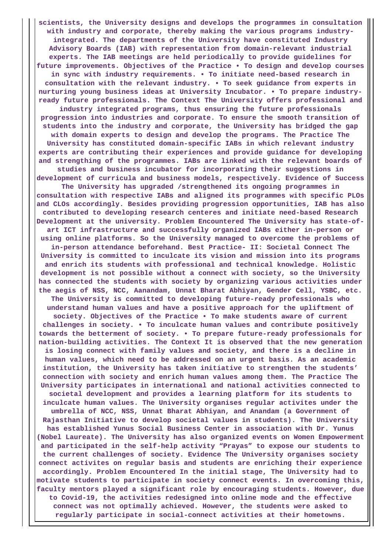**scientists, the University designs and develops the programmes in consultation with industry and corporate, thereby making the various programs industryintegrated. The departments of the University have constituted Industry Advisory Boards (IAB) with representation from domain-relevant industrial experts. The IAB meetings are held periodically to provide guidelines for future improvements. Objectives of the Practice • To design and develop courses in sync with industry requirements. • To initiate need-based research in consultation with the relevant industry. • To seek guidance from experts in nurturing young business ideas at University Incubator. • To prepare industryready future professionals. The Context The University offers professional and industry integrated programs, thus ensuring the future professionals progression into industries and corporate. To ensure the smooth transition of students into the industry and corporate, the University has bridged the gap with domain experts to design and develop the programs. The Practice The University has constituted domain-specific IABs in which relevant industry experts are contributing their experiences and provide guidance for developing and strengthing of the programmes. IABs are linked with the relevant boards of studies and business incubator for incorporating their suggestions in development of curricula and business models, respectively. Evidence of Success The University has upgraded /strengthened its ongoing programmes in consultation with respective IABs and aligned its programmes with specific PLOs and CLOs accordingly. Besides providing progression opportunities, IAB has also contributed to developing research centeres and initiate need-based Research Development at the university. Problem Encountered The University has state-ofart ICT infrastructure and successfully organized IABs either in-person or using online platforms. So the University managed to overcome the problems of in-person attendance beforehand. Best Practice- II: Societal Connect The University is committed to inculcate its vision and mission into its programs and enrich its students with professional and technical knowledge. Holistic development is not possible without a connect with society, so the University has connected the students with society by organizing various activities under the aegis of NSS, NCC, Aanandam, Unnat Bharat Abhiyan, Gender Cell, YSBC, etc. The University is committed to developing future-ready professionals who understand human values and have a positive approach for the upliftment of society. Objectives of the Practice • To make students aware of current challenges in society. • To inculcate human values and contribute positively towards the betterment of society. • To prepare future-ready professionals for nation-building activities. The Context It is observed that the new generation is losing connect with family values and society, and there is a decline in human values, which need to be addressed on an urgent basis. As an academic institution, the University has taken initiative to strengthen the students' connection with society and enrich human values among them. The Practice The University participates in international and national activities connected to societal development and provides a learning platform for its students to inculcate human values. The University organises regular activites under the umbrella of NCC, NSS, Unnat Bharat Abhiyan, and Anandam (a Government of Rajasthan Initiative to develop societal values in students). The University has established Yunus Social Business Center in association with Dr. Yunus (Nobel Laureate). The University has also organized events on Women Empowerment and participated in the self-help activity "Prayas" to expose our students to the current challenges of society. Evidence The University organises society connect activites on regular basis and students are enriching their experience accordingly. Problem Encountered In the initial stage, The University had to motivate students to participate in society connect events. In overcoming this, faculty mentors played a significant role by encouraging students. However, due to Covid-19, the activities redesigned into online mode and the effective connect was not optimally achieved. However, the students were asked to regularly participate in social-connect activities at their hometowns.**